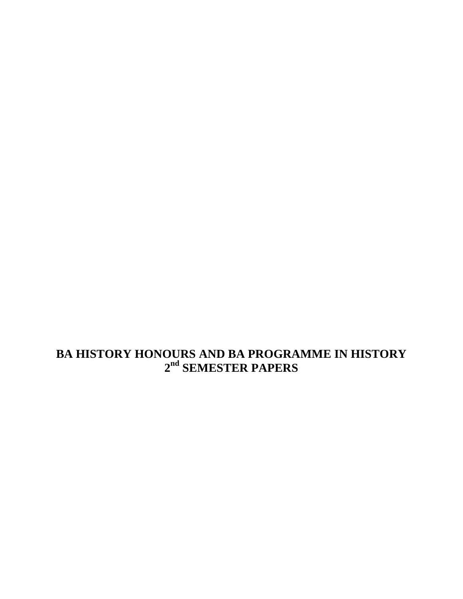**BA HISTORY HONOURS AND BA PROGRAMME IN HISTORY 2 nd SEMESTER PAPERS**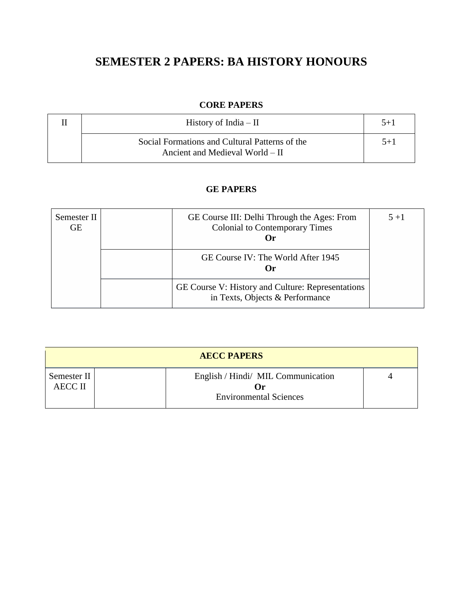# **SEMESTER 2 PAPERS: BA HISTORY HONOURS**

# **CORE PAPERS**

| History of India $-$ II                                                           | $5 + 1$ |
|-----------------------------------------------------------------------------------|---------|
| Social Formations and Cultural Patterns of the<br>Ancient and Medieval World – II | $5+1$   |

# **GE PAPERS**

| Semester II<br><b>GE</b> | GE Course III: Delhi Through the Ages: From<br><b>Colonial to Contemporary Times</b><br>Or) | $5 + 1$ |
|--------------------------|---------------------------------------------------------------------------------------------|---------|
|                          | GE Course IV: The World After 1945<br>Or                                                    |         |
|                          | GE Course V: History and Culture: Representations<br>in Texts, Objects & Performance        |         |

| <b>AECC PAPERS</b>            |  |                                                                             |  |  |
|-------------------------------|--|-----------------------------------------------------------------------------|--|--|
| Semester II<br><b>AECC II</b> |  | English / Hindi/ MIL Communication<br>l )r<br><b>Environmental Sciences</b> |  |  |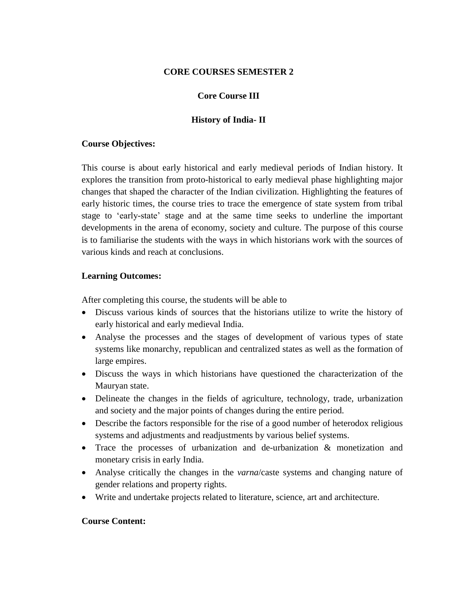#### **CORE COURSES SEMESTER 2**

#### **Core Course III**

#### **History of India- II**

#### **Course Objectives:**

This course is about early historical and early medieval periods of Indian history. It explores the transition from proto-historical to early medieval phase highlighting major changes that shaped the character of the Indian civilization. Highlighting the features of early historic times, the course tries to trace the emergence of state system from tribal stage to 'early-state' stage and at the same time seeks to underline the important developments in the arena of economy, society and culture. The purpose of this course is to familiarise the students with the ways in which historians work with the sources of various kinds and reach at conclusions.

#### **Learning Outcomes:**

After completing this course, the students will be able to

- Discuss various kinds of sources that the historians utilize to write the history of early historical and early medieval India.
- Analyse the processes and the stages of development of various types of state systems like monarchy, republican and centralized states as well as the formation of large empires.
- Discuss the ways in which historians have questioned the characterization of the Mauryan state.
- Delineate the changes in the fields of agriculture, technology, trade, urbanization and society and the major points of changes during the entire period.
- Describe the factors responsible for the rise of a good number of heterodox religious systems and adjustments and readjustments by various belief systems.
- Trace the processes of urbanization and de-urbanization & monetization and monetary crisis in early India.
- Analyse critically the changes in the *varna*/caste systems and changing nature of gender relations and property rights.
- Write and undertake projects related to literature, science, art and architecture.

#### **Course Content:**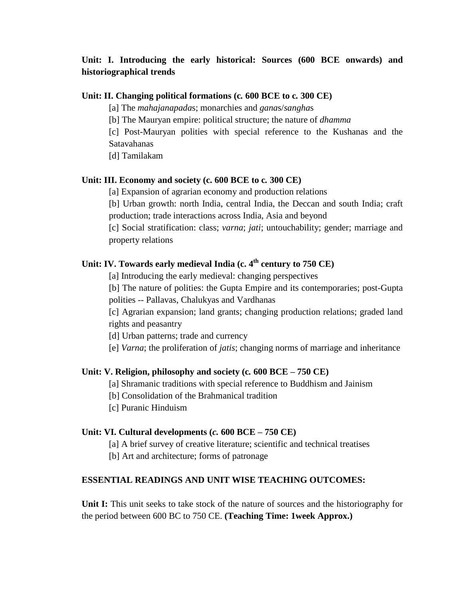# **Unit: I. Introducing the early historical: Sources (600 BCE onwards) and historiographical trends**

#### **Unit: II. Changing political formations (c***.* **600 BCE to c***.* **300 CE)**

[a] The *mahajanapada*s; monarchies and *gana*s/*sangha*s

[b] The Mauryan empire: political structure; the nature of *dhamma*

[c] Post-Mauryan polities with special reference to the Kushanas and the Satavahanas

[d] Tamilakam

#### **Unit: III. Economy and society (c. 600 BCE to c***.* **300 CE)**

[a] Expansion of agrarian economy and production relations

[b] Urban growth: north India, central India, the Deccan and south India; craft production; trade interactions across India, Asia and beyond

[c] Social stratification: class; *varna*; *jati*; untouchability; gender; marriage and property relations

# **Unit: IV. Towards early medieval India (c. 4 th century to 750 CE)**

[a] Introducing the early medieval: changing perspectives

[b] The nature of polities: the Gupta Empire and its contemporaries; post-Gupta polities -- Pallavas, Chalukyas and Vardhanas

[c] Agrarian expansion; land grants; changing production relations; graded land rights and peasantry

[d] Urban patterns; trade and currency

[e] *Varna*; the proliferation of *jatis*; changing norms of marriage and inheritance

#### **Unit: V. Religion, philosophy and society (c***.* **600 BCE – 750 CE)**

[a] Shramanic traditions with special reference to Buddhism and Jainism

[b] Consolidation of the Brahmanical tradition

[c] Puranic Hinduism

#### **Unit: VI. Cultural developments (***c.* **600 BCE – 750 CE)**

[a] A brief survey of creative literature; scientific and technical treatises

[b] Art and architecture; forms of patronage

#### **ESSENTIAL READINGS AND UNIT WISE TEACHING OUTCOMES:**

**Unit I:** This unit seeks to take stock of the nature of sources and the historiography for the period between 600 BC to 750 CE. **(Teaching Time: 1week Approx.)**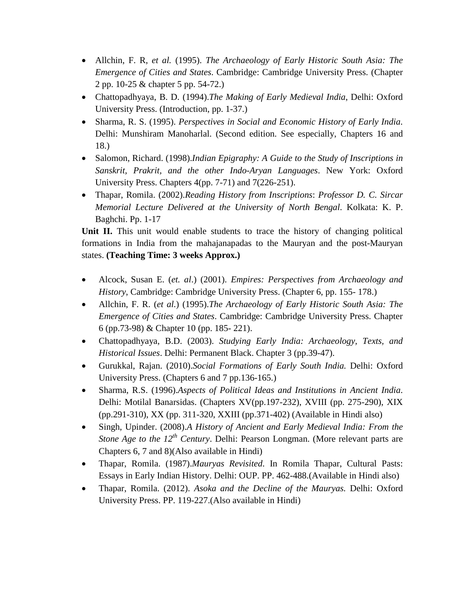- Allchin, F. R, *et al.* (1995). *The Archaeology of Early Historic South Asia: The Emergence of Cities and States*. Cambridge: Cambridge University Press. (Chapter 2 pp. 10-25 & chapter 5 pp. 54-72.)
- Chattopadhyaya, B. D. (1994).*The Making of Early Medieval India*, Delhi: Oxford University Press. (Introduction, pp. 1-37.)
- Sharma, R. S. (1995). *Perspectives in Social and Economic History of Early India*. Delhi: Munshiram Manoharlal. (Second edition. See especially, Chapters 16 and 18.)
- Salomon, Richard. (1998).*Indian Epigraphy: A Guide to the Study of Inscriptions in Sanskrit, Prakrit, and the other Indo-Aryan Languages*. New York: Oxford University Press. Chapters 4(pp. 7-71) and 7(226-251).
- Thapar, Romila. (2002).*Reading History from Inscriptions*: *Professor D. C. Sircar Memorial Lecture Delivered at the University of North Bengal*. Kolkata: K. P. Baghchi. Pp. 1-17

**Unit II.** This unit would enable students to trace the history of changing political formations in India from the mahajanapadas to the Mauryan and the post-Mauryan states. **(Teaching Time: 3 weeks Approx.)**

- Alcock, Susan E. (*et. al*.) (2001). *Empires: Perspectives from Archaeology and History*, Cambridge: Cambridge University Press. (Chapter 6, pp. 155- 178.)
- Allchin, F. R. (*et al.*) (1995).*The Archaeology of Early Historic South Asia: The Emergence of Cities and States*. Cambridge: Cambridge University Press. Chapter 6 (pp.73-98) & Chapter 10 (pp. 185- 221).
- Chattopadhyaya, B.D. (2003). *Studying Early India: Archaeology, Texts, and Historical Issues*. Delhi: Permanent Black. Chapter 3 (pp.39-47).
- Gurukkal, Rajan. (2010).*Social Formations of Early South India.* Delhi: Oxford University Press. (Chapters 6 and 7 pp.136-165.)
- Sharma, R.S. (1996).*Aspects of Political Ideas and Institutions in Ancient India*. Delhi: Motilal Banarsidas. (Chapters XV(pp.197-232), XVIII (pp. 275-290), XIX (pp.291-310), XX (pp. 311-320, XXIII (pp.371-402) (Available in Hindi also)
- Singh, Upinder. (2008).*A History of Ancient and Early Medieval India: From the Stone Age to the 12th Century*. Delhi: Pearson Longman. (More relevant parts are Chapters 6, 7 and 8)(Also available in Hindi)
- Thapar, Romila. (1987).*Mauryas Revisited*. In Romila Thapar, Cultural Pasts: Essays in Early Indian History. Delhi: OUP. PP. 462-488.(Available in Hindi also)
- Thapar, Romila. (2012). *Asoka and the Decline of the Mauryas.* Delhi: Oxford University Press. PP. 119-227.(Also available in Hindi)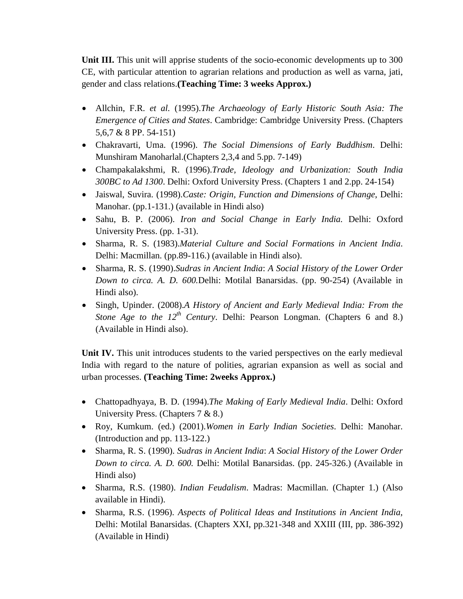**Unit III.** This unit will apprise students of the socio-economic developments up to 300 CE, with particular attention to agrarian relations and production as well as varna, jati, gender and class relations.**(Teaching Time: 3 weeks Approx.)**

- Allchin, F.R. *et al.* (1995).*The Archaeology of Early Historic South Asia: The Emergence of Cities and States*. Cambridge: Cambridge University Press. (Chapters 5,6,7 & 8 PP. 54-151)
- Chakravarti, Uma. (1996). *The Social Dimensions of Early Buddhism*. Delhi: Munshiram Manoharlal.(Chapters 2,3,4 and 5.pp. 7-149)
- Champakalakshmi, R. (1996).*Trade, Ideology and Urbanization: South India 300BC to Ad 1300*. Delhi: Oxford University Press. (Chapters 1 and 2.pp. 24-154)
- Jaiswal, Suvira. (1998).*Caste: Origin, Function and Dimensions of Change*, Delhi: Manohar. (pp.1-131.) (available in Hindi also)
- Sahu, B. P. (2006). *Iron and Social Change in Early India.* Delhi: Oxford University Press. (pp. 1-31).
- Sharma, R. S. (1983).*Material Culture and Social Formations in Ancient India*. Delhi: Macmillan. (pp.89-116.) (available in Hindi also).
- Sharma, R. S. (1990).*Sudras in Ancient India*: *A Social History of the Lower Order Down to circa. A. D. 600.*Delhi: Motilal Banarsidas. (pp. 90-254) (Available in Hindi also).
- Singh, Upinder. (2008).*A History of Ancient and Early Medieval India: From the Stone Age to the 12th Century*. Delhi: Pearson Longman. (Chapters 6 and 8.) (Available in Hindi also).

**Unit IV.** This unit introduces students to the varied perspectives on the early medieval India with regard to the nature of polities, agrarian expansion as well as social and urban processes. **(Teaching Time: 2weeks Approx.)**

- Chattopadhyaya, B. D. (1994).*The Making of Early Medieval India*. Delhi: Oxford University Press. (Chapters 7 & 8.)
- Roy, Kumkum. (ed.) (2001).*Women in Early Indian Societies*. Delhi: Manohar. (Introduction and pp. 113-122.)
- Sharma, R. S. (1990). *Sudras in Ancient India*: *A Social History of the Lower Order Down to circa. A. D. 600.* Delhi: Motilal Banarsidas. (pp. 245-326.) (Available in Hindi also)
- Sharma, R.S. (1980). *Indian Feudalism*. Madras: Macmillan. (Chapter 1.) (Also available in Hindi).
- Sharma, R.S. (1996). *Aspects of Political Ideas and Institutions in Ancient India*, Delhi: Motilal Banarsidas. (Chapters XXI, pp.321-348 and XXIII (III, pp. 386-392) (Available in Hindi)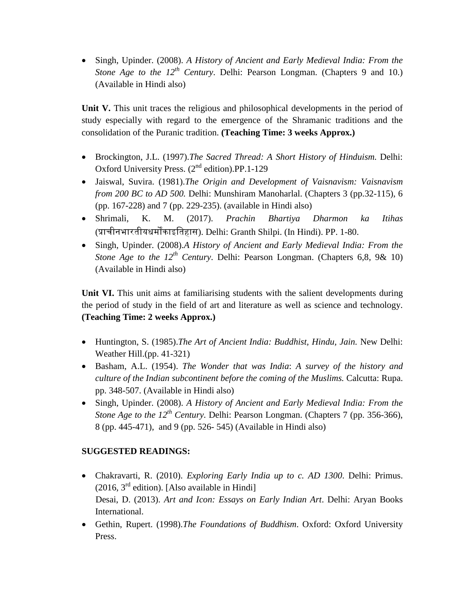Singh, Upinder. (2008). *A History of Ancient and Early Medieval India: From the Stone Age to the 12th Century*. Delhi: Pearson Longman. (Chapters 9 and 10.) (Available in Hindi also)

**Unit V.** This unit traces the religious and philosophical developments in the period of study especially with regard to the emergence of the Shramanic traditions and the consolidation of the Puranic tradition. **(Teaching Time: 3 weeks Approx.)**

- Brockington, J.L. (1997).*The Sacred Thread: A Short History of Hinduism.* Delhi: Oxford University Press. (2nd edition).PP.1-129
- Jaiswal, Suvira. (1981).*The Origin and Development of Vaisnavism: Vaisnavism from 200 BC to AD 500.* Delhi: Munshiram Manoharlal. (Chapters 3 (pp.32-115), 6 (pp. 167-228) and 7 (pp. 229-235). (available in Hindi also)
- Shrimali, K. M. (2017). *Prachin Bhartiya Dharmon ka Itihas* (प्राचीनभारतीयधर्मोंकाइततहास). Delhi: Granth Shilpi. (In Hindi). PP. 1-80.
- Singh, Upinder. (2008).*A History of Ancient and Early Medieval India: From the Stone Age to the 12th Century*. Delhi: Pearson Longman. (Chapters 6,8, 9& 10) (Available in Hindi also)

**Unit VI.** This unit aims at familiarising students with the salient developments during the period of study in the field of art and literature as well as science and technology. **(Teaching Time: 2 weeks Approx.)**

- Huntington, S. (1985).*The Art of Ancient India: Buddhist, Hindu, Jain.* New Delhi: Weather Hill.(pp. 41-321)
- Basham, A.L. (1954). *The Wonder that was India*: *A survey of the history and culture of the Indian subcontinent before the coming of the Muslims.* Calcutta: Rupa. pp. 348-507. (Available in Hindi also)
- Singh, Upinder. (2008). *A History of Ancient and Early Medieval India: From the Stone Age to the 12th Century.* Delhi: Pearson Longman. (Chapters 7 (pp. 356-366), 8 (pp. 445-471), and 9 (pp. 526- 545) (Available in Hindi also)

# **SUGGESTED READINGS:**

- Chakravarti, R. (2010). *Exploring Early India up to c. AD 1300*. Delhi: Primus.  $(2016, 3<sup>rd</sup>$  edition). [Also available in Hindi] Desai, D. (2013). *Art and Icon: Essays on Early Indian Art*. Delhi: Aryan Books International.
- Gethin, Rupert. (1998).*The Foundations of Buddhism*. Oxford: Oxford University Press.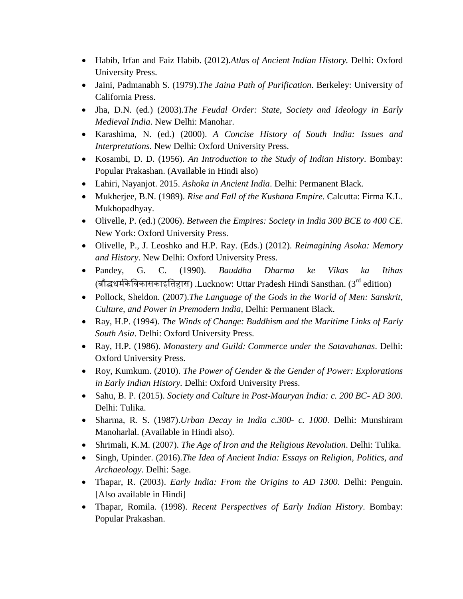- Habib, Irfan and Faiz Habib. (2012).*Atlas of Ancient Indian History.* Delhi: Oxford University Press.
- Jaini, Padmanabh S. (1979).*The Jaina Path of Purification*. Berkeley: University of California Press.
- Jha, D.N. (ed.) (2003).*The Feudal Order: State, Society and Ideology in Early Medieval India*. New Delhi: Manohar.
- Karashima, N. (ed.) (2000). *A Concise History of South India: Issues and Interpretations.* New Delhi: Oxford University Press.
- Kosambi, D. D. (1956). *An Introduction to the Study of Indian History*. Bombay: Popular Prakashan. (Available in Hindi also)
- Lahiri, Nayanjot. 2015. *Ashoka in Ancient India*. Delhi: Permanent Black.
- Mukherjee, B.N. (1989). *Rise and Fall of the Kushana Empire.* Calcutta: Firma K.L. Mukhopadhyay.
- Olivelle, P. (ed.) (2006). *Between the Empires: Society in India 300 BCE to 400 CE*. New York: Oxford University Press.
- Olivelle, P., J. Leoshko and H.P. Ray. (Eds.) (2012). *Reimagining Asoka: Memory and History*. New Delhi: Oxford University Press.
- Pandey, G. C. (1990). *Bauddha Dharma ke Vikas ka Itihas* (बौद्धधर्ममके तिकासकाइततहास) *.*Lucknow: Uttar Pradesh Hindi Sansthan. (3rd edition)
- Pollock, Sheldon. (2007).*The Language of the Gods in the World of Men: Sanskrit, Culture, and Power in Premodern India*, Delhi: Permanent Black.
- Ray, H.P. (1994). *The Winds of Change: Buddhism and the Maritime Links of Early South Asia*. Delhi: Oxford University Press.
- Ray, H.P. (1986). *Monastery and Guild: Commerce under the Satavahanas*. Delhi: Oxford University Press.
- Roy, Kumkum. (2010). *The Power of Gender & the Gender of Power: Explorations in Early Indian History.* Delhi: Oxford University Press.
- Sahu, B. P. (2015). *Society and Culture in Post-Mauryan India: c. 200 BC- AD 300*. Delhi: Tulika.
- Sharma, R. S. (1987).*Urban Decay in India c.300- c. 1000*. Delhi: Munshiram Manoharlal. (Available in Hindi also).
- Shrimali, K.M. (2007). *The Age of Iron and the Religious Revolution*. Delhi: Tulika.
- Singh, Upinder. (2016).*The Idea of Ancient India: Essays on Religion, Politics, and Archaeology*. Delhi: Sage.
- Thapar, R. (2003). *Early India: From the Origins to AD 1300*. Delhi: Penguin. [Also available in Hindi]
- Thapar, Romila. (1998). *Recent Perspectives of Early Indian History*. Bombay: Popular Prakashan.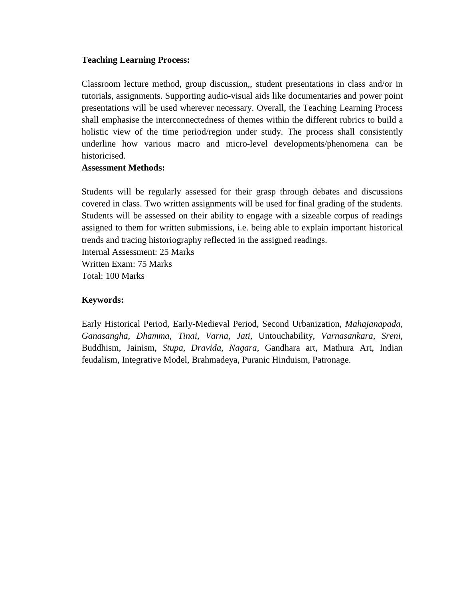#### **Teaching Learning Process:**

Classroom lecture method, group discussion,, student presentations in class and/or in tutorials, assignments. Supporting audio-visual aids like documentaries and power point presentations will be used wherever necessary. Overall, the Teaching Learning Process shall emphasise the interconnectedness of themes within the different rubrics to build a holistic view of the time period/region under study. The process shall consistently underline how various macro and micro-level developments/phenomena can be historicised.

#### **Assessment Methods:**

Students will be regularly assessed for their grasp through debates and discussions covered in class. Two written assignments will be used for final grading of the students. Students will be assessed on their ability to engage with a sizeable corpus of readings assigned to them for written submissions, i.e. being able to explain important historical trends and tracing historiography reflected in the assigned readings. Internal Assessment: 25 Marks

Written Exam: 75 Marks Total: 100 Marks

#### **Keywords:**

Early Historical Period, Early-Medieval Period, Second Urbanization, *Mahajanapada*, *Ganasangha*, *Dhamma*, *Tinai*, *Varna*, *Jati*, Untouchability, *Varnasankara*, *Sreni*, Buddhism, Jainism, *Stupa*, *Dravida*, *Nagara*, Gandhara art, Mathura Art, Indian feudalism, Integrative Model, Brahmadeya, Puranic Hinduism, Patronage.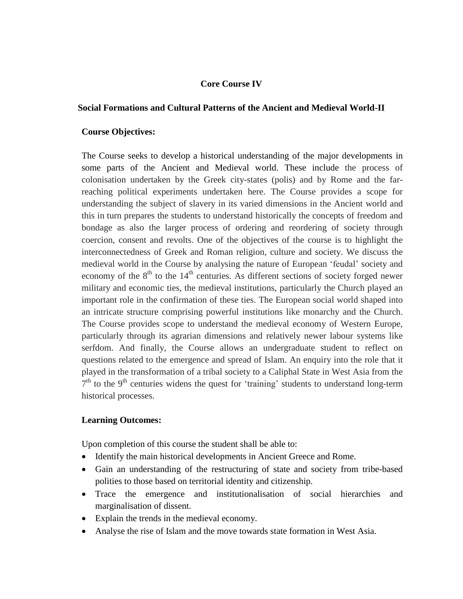#### **Core Course IV**

#### **Social Formations and Cultural Patterns of the Ancient and Medieval World-II**

#### **Course Objectives:**

The Course seeks to develop a historical understanding of the major developments in some parts of the Ancient and Medieval world. These include the process of colonisation undertaken by the Greek city-states (polis) and by Rome and the farreaching political experiments undertaken here. The Course provides a scope for understanding the subject of slavery in its varied dimensions in the Ancient world and this in turn prepares the students to understand historically the concepts of freedom and bondage as also the larger process of ordering and reordering of society through coercion, consent and revolts. One of the objectives of the course is to highlight the interconnectedness of Greek and Roman religion, culture and society. We discuss the medieval world in the Course by analysing the nature of European 'feudal' society and economy of the  $8<sup>th</sup>$  to the  $14<sup>th</sup>$  centuries. As different sections of society forged newer military and economic ties, the medieval institutions, particularly the Church played an important role in the confirmation of these ties. The European social world shaped into an intricate structure comprising powerful institutions like monarchy and the Church. The Course provides scope to understand the medieval economy of Western Europe, particularly through its agrarian dimensions and relatively newer labour systems like serfdom. And finally, the Course allows an undergraduate student to reflect on questions related to the emergence and spread of Islam. An enquiry into the role that it played in the transformation of a tribal society to a Caliphal State in West Asia from the  $7<sup>th</sup>$  to the 9<sup>th</sup> centuries widens the quest for 'training' students to understand long-term historical processes.

#### **Learning Outcomes:**

Upon completion of this course the student shall be able to:

- Identify the main historical developments in Ancient Greece and Rome.
- Gain an understanding of the restructuring of state and society from tribe-based polities to those based on territorial identity and citizenship.
- Trace the emergence and institutionalisation of social hierarchies and marginalisation of dissent.
- Explain the trends in the medieval economy.
- Analyse the rise of Islam and the move towards state formation in West Asia.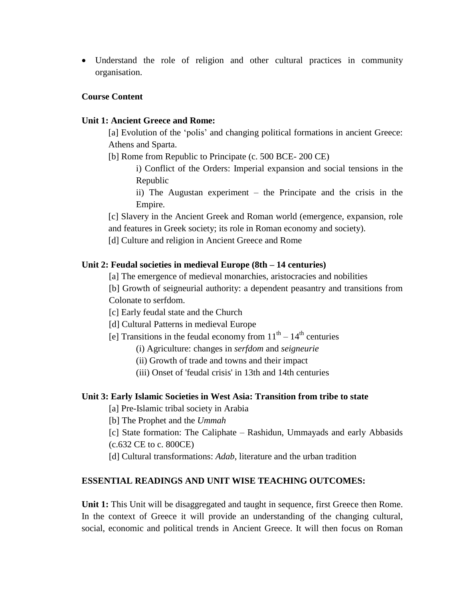Understand the role of religion and other cultural practices in community organisation.

#### **Course Content**

#### **Unit 1: Ancient Greece and Rome:**

[a] Evolution of the 'polis' and changing political formations in ancient Greece: Athens and Sparta.

- [b] Rome from Republic to Principate (c. 500 BCE- 200 CE)
	- i) Conflict of the Orders: Imperial expansion and social tensions in the Republic
	- ii) The Augustan experiment the Principate and the crisis in the Empire.

[c] Slavery in the Ancient Greek and Roman world (emergence, expansion, role and features in Greek society; its role in Roman economy and society).

[d] Culture and religion in Ancient Greece and Rome

#### **Unit 2: Feudal societies in medieval Europe (8th – 14 centuries)**

[a] The emergence of medieval monarchies, aristocracies and nobilities

[b] Growth of seigneurial authority: a dependent peasantry and transitions from Colonate to serfdom.

- [c] Early feudal state and the Church
- [d] Cultural Patterns in medieval Europe
- [e] Transitions in the feudal economy from  $11<sup>th</sup> 14<sup>th</sup>$  centuries
	- (i) Agriculture: changes in *serfdom* and *seigneurie*
	- (ii) Growth of trade and towns and their impact
	- (iii) Onset of 'feudal crisis' in 13th and 14th centuries

#### **Unit 3: Early Islamic Societies in West Asia: Transition from tribe to state**

[a] Pre-Islamic tribal society in Arabia

[b] The Prophet and the *Ummah*

[c] State formation: The Caliphate – Rashidun, Ummayads and early Abbasids (c.632 CE to c. 800CE)

[d] Cultural transformations: *Adab*, literature and the urban tradition

#### **ESSENTIAL READINGS AND UNIT WISE TEACHING OUTCOMES:**

**Unit 1:** This Unit will be disaggregated and taught in sequence, first Greece then Rome. In the context of Greece it will provide an understanding of the changing cultural, social, economic and political trends in Ancient Greece. It will then focus on Roman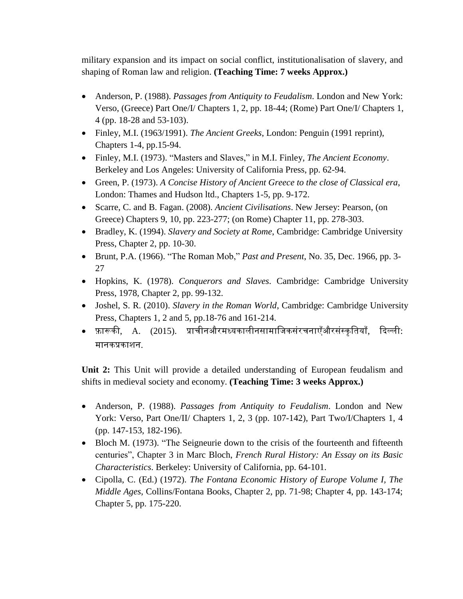military expansion and its impact on social conflict, institutionalisation of slavery, and shaping of Roman law and religion. **(Teaching Time: 7 weeks Approx.)**

- Anderson, P. (1988). *Passages from Antiquity to Feudalism*. London and New York: Verso, (Greece) Part One/I/ Chapters 1, 2, pp. 18-44; (Rome) Part One/I/ Chapters 1, 4 (pp. 18-28 and 53-103).
- Finley, M.I. (1963/1991). *The Ancient Greeks*, London: Penguin (1991 reprint), Chapters 1-4, pp.15-94.
- Finley, M.I. (1973). "Masters and Slaves," in M.I. Finley, *The Ancient Economy*. Berkeley and Los Angeles: University of California Press, pp. 62-94.
- Green, P. (1973). *A Concise History of Ancient Greece to the close of Classical era*, London: Thames and Hudson ltd., Chapters 1-5, pp. 9-172.
- Scarre, C. and B. Fagan. (2008). *Ancient Civilisations*. New Jersey: Pearson, (on Greece) Chapters 9, 10, pp. 223-277; (on Rome) Chapter 11, pp. 278-303.
- Bradley, K. (1994). *Slavery and Society at Rome*, Cambridge: Cambridge University Press, Chapter 2, pp. 10-30.
- Brunt, P.A. (1966). "The Roman Mob," *Past and Present*, No. 35, Dec. 1966, pp. 3- 27
- Hopkins, K. (1978). *Conquerors and Slaves*. Cambridge: Cambridge University Press, 1978, Chapter 2, pp. 99-132.
- Joshel, S. R. (2010). *Slavery in the Roman World*, Cambridge: Cambridge University Press, Chapters 1, 2 and 5, pp.18-76 and 161-214.
- फ़ारूकी, A. (2015). प्राचीनऔरमध्यकालीनसामाजिकसंरचनाएँऔरसंस्कतियाँ, दिल्ली: र्मानकप्रकाशन.

**Unit 2:** This Unit will provide a detailed understanding of European feudalism and shifts in medieval society and economy. **(Teaching Time: 3 weeks Approx.)**

- Anderson, P. (1988). *Passages from Antiquity to Feudalism*. London and New York: Verso, Part One/II/ Chapters 1, 2, 3 (pp. 107-142), Part Two/I/Chapters 1, 4 (pp. 147-153, 182-196).
- Bloch M. (1973). "The Seigneurie down to the crisis of the fourteenth and fifteenth centuries", Chapter 3 in Marc Bloch, *French Rural History: An Essay on its Basic Characteristics*. Berkeley: University of California, pp. 64-101.
- Cipolla, C. (Ed.) (1972). *The Fontana Economic History of Europe Volume I, The Middle Ages*, Collins/Fontana Books, Chapter 2, pp. 71-98; Chapter 4, pp. 143-174; Chapter 5, pp. 175-220.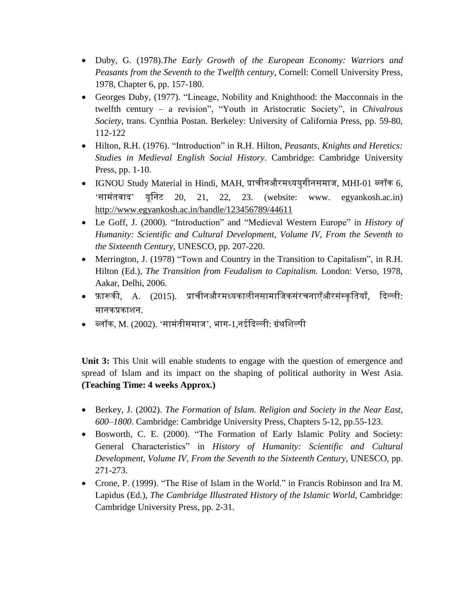- Duby, G. (1978).*The Early Growth of the European Economy: Warriors and Peasants from the Seventh to the Twelfth century*, Cornell: Cornell University Press, 1978, Chapter 6, pp. 157-180.
- Georges Duby, (1977). "Lineage, Nobility and Knighthood: the Macconnais in the twelfth century – a revision", "Youth in Aristocratic Society", in *Chivalrous Society*, trans. Cynthia Postan. Berkeley: University of California Press, pp. 59-80, 112-122
- Hilton, R.H. (1976). "Introduction" in R.H. Hilton, *Peasants, Knights and Heretics: Studies in Medieval English Social History*. Cambridge: Cambridge University Press, pp. 1-10.
- $\bullet$   $\,$  IGNOU Study Material in Hindi, MAH, प्राचीनऔरमध्ययुगीनसमाज, MHI-01 ब्लॉक 6, 'सामंतवाद' यूनिट 20, 21, 22, 23. (website: www. egyankosh.ac.in) <http://www.egyankosh.ac.in/handle/123456789/44611>
- Le Goff, J. (2000). "Introduction" and "Medieval Western Europe" in *History of Humanity: Scientific and Cultural Development, Volume IV, From the Seventh to the Sixteenth Century,* UNESCO, pp. 207-220.
- Merrington, J. (1978) "Town and Country in the Transition to Capitalism", in R.H. Hilton (Ed.), *The Transition from Feudalism to Capitalism.* London: Verso, 1978, Aakar, Delhi, 2006.
- फ़ारूकी, A. (2015). प्राचीनऔरमध्यकालीनसामाजिकसंरचनाएँऔरसंस्कृतियाँ, दिल्ली: र्मानकप्रकाशन.
- $\bullet \quad$  ब्लॉक, M. (2002). 'सामंतीसमाज', भाग-1,नईदिल्ली: ग्रंथशिल्पी

**Unit 3:** This Unit will enable students to engage with the question of emergence and spread of Islam and its impact on the shaping of political authority in West Asia. **(Teaching Time: 4 weeks Approx.)**

- Berkey, J. (2002). *The Formation of Islam. Religion and Society in the Near East, 600–1800*. Cambridge: Cambridge University Press, Chapters 5-12, pp.55-123.
- Bosworth, C. E. (2000). "The Formation of Early Islamic Polity and Society: General Characteristics" in *History of Humanity: Scientific and Cultural Development, Volume IV, From the Seventh to the Sixteenth Century,* UNESCO, pp. 271-273.
- Crone, P. (1999). "The Rise of Islam in the World." in Francis Robinson and Ira M. Lapidus (Ed.), *The Cambridge Illustrated History of the Islamic World*, Cambridge: Cambridge University Press, pp. 2-31.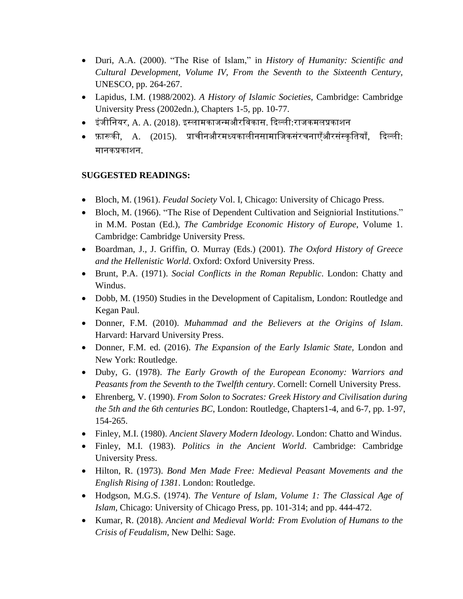- Duri, A.A. (2000). "The Rise of Islam," in *History of Humanity: Scientific and Cultural Development, Volume IV, From the Seventh to the Sixteenth Century,* UNESCO, pp. 264-267.
- Lapidus, I.M. (1988/2002). *A History of Islamic Societies*, Cambridge: Cambridge University Press (2002edn.), Chapters 1-5, pp. 10-77.
- इंिीतनयर, A. A. (2018). इस्लार्मकािन्र्मऔरतिकास. दिल्ली:रािकर्मलप्रकाशन
- फ़ारूकी, A. (2015). प्राचीनऔरमध्यकालीनसामाजिकसंरचनाएँऔरसंस्कृतियाँ, दिल्ली: र्मानकप्रकाशन.

# **SUGGESTED READINGS:**

- Bloch, M. (1961). *Feudal Society* Vol. I, Chicago: University of Chicago Press.
- Bloch, M. (1966). "The Rise of Dependent Cultivation and Seigniorial Institutions." in M.M. Postan (Ed.), *The Cambridge Economic History of Europe*, Volume 1. Cambridge: Cambridge University Press.
- Boardman, J., J. Griffin, O. Murray (Eds.) (2001). *The Oxford History of Greece and the Hellenistic World*. Oxford: Oxford University Press.
- Brunt, P.A. (1971). *Social Conflicts in the Roman Republic*. London: Chatty and Windus.
- Dobb, M. (1950) Studies in the Development of Capitalism, London: Routledge and Kegan Paul.
- Donner, F.M. (2010). *Muhammad and the Believers at the Origins of Islam*. Harvard: Harvard University Press.
- Donner, F.M. ed. (2016). *The Expansion of the Early Islamic State,* London and New York: Routledge.
- Duby, G. (1978). *The Early Growth of the European Economy: Warriors and Peasants from the Seventh to the Twelfth century*. Cornell: Cornell University Press.
- Ehrenberg, V. (1990). *From Solon to Socrates: Greek History and Civilisation during the 5th and the 6th centuries BC*, London: Routledge, Chapters1-4, and 6-7, pp. 1-97, 154-265.
- Finley, M.I. (1980). *Ancient Slavery Modern Ideology*. London: Chatto and Windus.
- Finley, M.I. (1983). *Politics in the Ancient World*. Cambridge: Cambridge University Press.
- Hilton, R. (1973). *Bond Men Made Free: Medieval Peasant Movements and the English Rising of 1381*. London: Routledge.
- Hodgson, M.G.S. (1974). *The Venture of Islam, Volume 1: The Classical Age of Islam,* Chicago: University of Chicago Press, pp. 101-314; and pp. 444-472.
- Kumar, R. (2018). *Ancient and Medieval World: From Evolution of Humans to the Crisis of Feudalism*, New Delhi: Sage.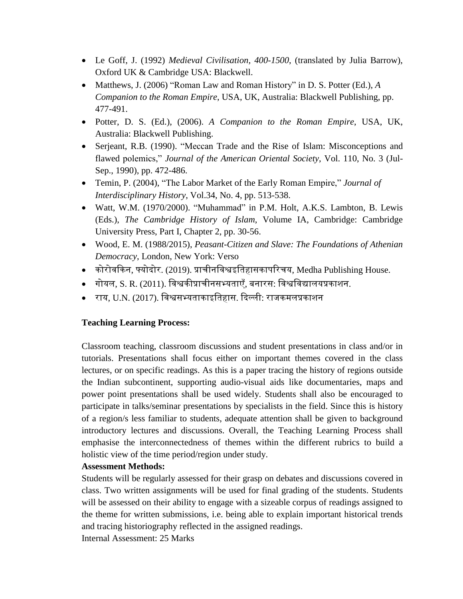- Le Goff, J. (1992) *Medieval Civilisation, 400-1500*, (translated by Julia Barrow), Oxford UK & Cambridge USA: Blackwell.
- Matthews, J. (2006) "Roman Law and Roman History" in D. S. Potter (Ed.), *A Companion to the Roman Empire*, USA, UK, Australia: Blackwell Publishing, pp. 477-491.
- Potter, D. S. (Ed.), (2006). *A Companion to the Roman Empire*, USA, UK, Australia: Blackwell Publishing.
- Serjeant, R.B. (1990). "Meccan Trade and the Rise of Islam: Misconceptions and flawed polemics," *Journal of the American Oriental Society*, Vol. 110, No. 3 (Jul-Sep., 1990), pp. 472-486.
- Temin, P. (2004), "The Labor Market of the Early Roman Empire," *Journal of Interdisciplinary History*, Vol.34, No. 4, pp. 513-538.
- Watt, W.M. (1970/2000). "Muhammad" in P.M. Holt, A.K.S. Lambton, B. Lewis (Eds.), *The Cambridge History of Islam*, Volume IA, Cambridge: Cambridge University Press, Part I, Chapter 2, pp. 30-56.
- Wood, E. M. (1988/2015), *Peasant-Citizen and Slave: The Foundations of Athenian Democracy*, London, New York: Verso
- $\bullet$  कोरोवकिन, फ्योदोर. (2019). प्राचीनविश्वइतिहासकापरिचय, Medha Publishing House.
- गोयल, S. R. (2011). तिश्वकीप्राचीनसभ्यताएँ, बनारस: तिश्वतिद्यालयप्रकाशन.
- राय, U.N. (2017). तिश्वसभ्यताकाइततहास. दिल्ली: रािकर्मलप्रकाशन

# **Teaching Learning Process:**

Classroom teaching, classroom discussions and student presentations in class and/or in tutorials. Presentations shall focus either on important themes covered in the class lectures, or on specific readings. As this is a paper tracing the history of regions outside the Indian subcontinent, supporting audio-visual aids like documentaries, maps and power point presentations shall be used widely. Students shall also be encouraged to participate in talks/seminar presentations by specialists in the field. Since this is history of a region/s less familiar to students, adequate attention shall be given to background introductory lectures and discussions. Overall, the Teaching Learning Process shall emphasise the interconnectedness of themes within the different rubrics to build a holistic view of the time period/region under study.

# **Assessment Methods:**

Students will be regularly assessed for their grasp on debates and discussions covered in class. Two written assignments will be used for final grading of the students. Students will be assessed on their ability to engage with a sizeable corpus of readings assigned to the theme for written submissions, i.e. being able to explain important historical trends and tracing historiography reflected in the assigned readings. Internal Assessment: 25 Marks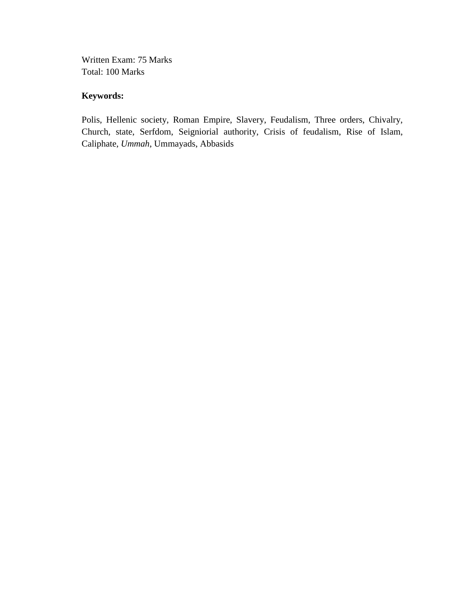Written Exam: 75 Marks Total: 100 Marks

# **Keywords:**

Polis, Hellenic society, Roman Empire, Slavery, Feudalism, Three orders, Chivalry, Church, state, Serfdom, Seigniorial authority, Crisis of feudalism, Rise of Islam, Caliphate, *Ummah*, Ummayads, Abbasids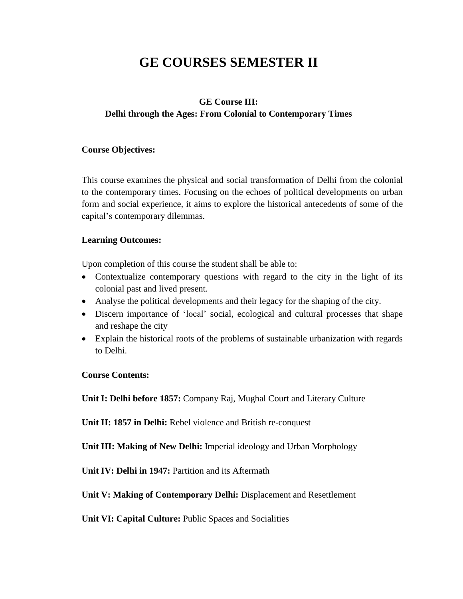# **GE COURSES SEMESTER II**

# **GE Course III: Delhi through the Ages: From Colonial to Contemporary Times**

#### **Course Objectives:**

This course examines the physical and social transformation of Delhi from the colonial to the contemporary times. Focusing on the echoes of political developments on urban form and social experience, it aims to explore the historical antecedents of some of the capital's contemporary dilemmas.

#### **Learning Outcomes:**

Upon completion of this course the student shall be able to:

- Contextualize contemporary questions with regard to the city in the light of its colonial past and lived present.
- Analyse the political developments and their legacy for the shaping of the city.
- Discern importance of 'local' social, ecological and cultural processes that shape and reshape the city
- Explain the historical roots of the problems of sustainable urbanization with regards to Delhi.

**Course Contents:**

**Unit I: Delhi before 1857:** Company Raj, Mughal Court and Literary Culture

**Unit II: 1857 in Delhi:** Rebel violence and British re-conquest

**Unit III: Making of New Delhi:** Imperial ideology and Urban Morphology

**Unit IV: Delhi in 1947:** Partition and its Aftermath

**Unit V: Making of Contemporary Delhi:** Displacement and Resettlement

**Unit VI: Capital Culture:** Public Spaces and Socialities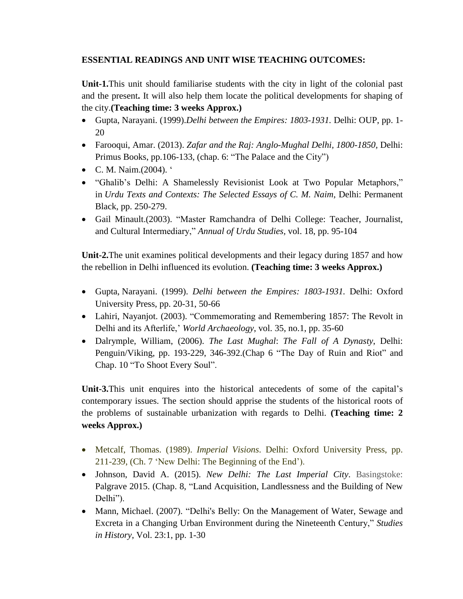# **ESSENTIAL READINGS AND UNIT WISE TEACHING OUTCOMES:**

**Unit-1.**This unit should familiarise students with the city in light of the colonial past and the present**.** It will also help them locate the political developments for shaping of the city.**(Teaching time: 3 weeks Approx.)**

- Gupta, Narayani. (1999).*Delhi between the Empires: 1803-1931.* Delhi: OUP, pp. 1- 20
- Farooqui, Amar. (2013). *Zafar and the Raj: Anglo-Mughal Delhi, 1800-1850,* Delhi: Primus Books, pp.106-133, (chap. 6: "The Palace and the City")
- C. M. Naim.(2004). '
- "Ghalib's Delhi: A Shamelessly Revisionist Look at Two Popular Metaphors," in *Urdu Texts and Contexts: The Selected Essays of C. M. Naim*, Delhi: Permanent Black, pp. 250-279.
- Gail Minault.(2003). "Master Ramchandra of Delhi College: Teacher, Journalist, and Cultural Intermediary," *Annual of Urdu Studies,* vol. 18, pp. 95-104

**Unit-2.**The unit examines political developments and their legacy during 1857 and how the rebellion in Delhi influenced its evolution. **(Teaching time: 3 weeks Approx.)**

- Gupta, Narayani. (1999). *Delhi between the Empires: 1803-1931.* Delhi: Oxford University Press, pp. 20-31, 50-66
- Lahiri, Nayanjot. (2003). "Commemorating and Remembering 1857: The Revolt in Delhi and its Afterlife,' *World Archaeology*, vol. 35, no.1, pp. 35-60
- Dalrymple, William, (2006). *The Last Mughal*: *The Fall of A Dynasty*, Delhi: Penguin/Viking, pp. 193-229, 346-392.(Chap 6 "The Day of Ruin and Riot" and Chap. 10 "To Shoot Every Soul".

**Unit-3.**This unit enquires into the historical antecedents of some of the capital's contemporary issues. The section should apprise the students of the historical roots of the problems of sustainable urbanization with regards to Delhi. **(Teaching time: 2 weeks Approx.)**

- Metcalf, Thomas. (1989). *Imperial Visions*. Delhi: Oxford University Press, pp. 211-239, (Ch. 7 'New Delhi: The Beginning of the End').
- Johnson, David A. (2015). *New Delhi: The Last Imperial City*. Basingstoke: Palgrave 2015. (Chap. 8, "Land Acquisition, Landlessness and the Building of New Delhi").
- Mann, Michael. (2007). "Delhi's Belly: On the Management of Water, Sewage and Excreta in a Changing Urban Environment during the Nineteenth Century," *Studies in History*, Vol. 23:1, pp. 1-30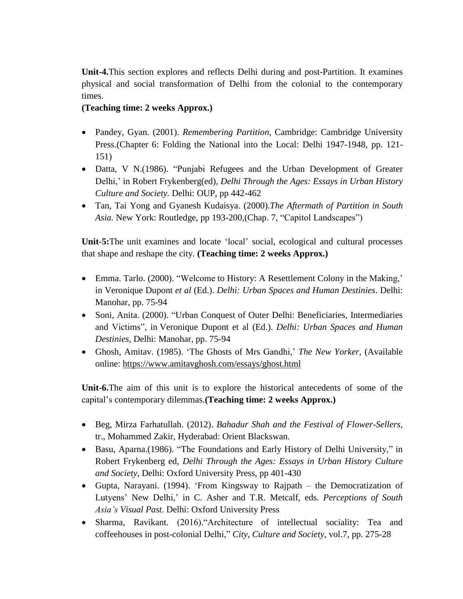**Unit-4.**This section explores and reflects Delhi during and post-Partition. It examines physical and social transformation of Delhi from the colonial to the contemporary times.

# **(Teaching time: 2 weeks Approx.)**

- Pandey, Gyan. (2001). *Remembering Partition*, Cambridge: Cambridge University Press.(Chapter 6: Folding the National into the Local: Delhi 1947-1948, pp. 121- 151)
- Datta, V N.(1986). "Punjabi Refugees and the Urban Development of Greater Delhi,' in Robert Frykenberg(ed), *Delhi Through the Ages: Essays in Urban History Culture and Society.* Delhi: OUP, pp 442-462
- Tan, Tai Yong and Gyanesh Kudaisya. (2000).*The Aftermath of Partition in South Asia.* New York: Routledge, pp 193-200,(Chap. 7, "Capitol Landscapes")

**Unit-5:**The unit examines and locate 'local' social, ecological and cultural processes that shape and reshape the city. **(Teaching time: 2 weeks Approx.)**

- Emma. Tarlo. (2000). "Welcome to History: A Resettlement Colony in the Making,' in Veronique Dupont *et al* (Ed.). *Delhi: Urban Spaces and Human Destinies*. Delhi: Manohar, pp. 75-94
- Soni, Anita. (2000). "Urban Conquest of Outer Delhi: Beneficiaries, Intermediaries and Victims", in Veronique Dupont et al (Ed.). *Delhi: Urban Spaces and Human Destinies,* Delhi: Manohar, pp. 75-94
- Ghosh, Amitav. (1985). 'The Ghosts of Mrs Gandhi,' *The New Yorker*, (Available online: https://www.amitavghosh.com/essays/ghost.html

**Unit-6.**The aim of this unit is to explore the historical antecedents of some of the capital's contemporary dilemmas.**(Teaching time: 2 weeks Approx.)**

- Beg, Mirza Farhatullah. (2012). *Bahadur Shah and the Festival of Flower-Sellers*, tr., Mohammed Zakir, Hyderabad: Orient Blackswan.
- Basu, Aparna.(1986). "The Foundations and Early History of Delhi University," in Robert Frykenberg ed, *Delhi Through the Ages: Essays in Urban History Culture and Society*, Delhi: Oxford University Press, pp 401-430
- Gupta, Narayani. (1994). 'From Kingsway to Rajpath the Democratization of Lutyens' New Delhi,' in C. Asher and T.R. Metcalf, eds. *Perceptions of South Asia's Visual Past*. Delhi: Oxford University Press
- Sharma, Ravikant. (2016)."Architecture of intellectual sociality: Tea and coffeehouses in post-colonial Delhi," *City, Culture and Society*, vol.7, pp. 275-28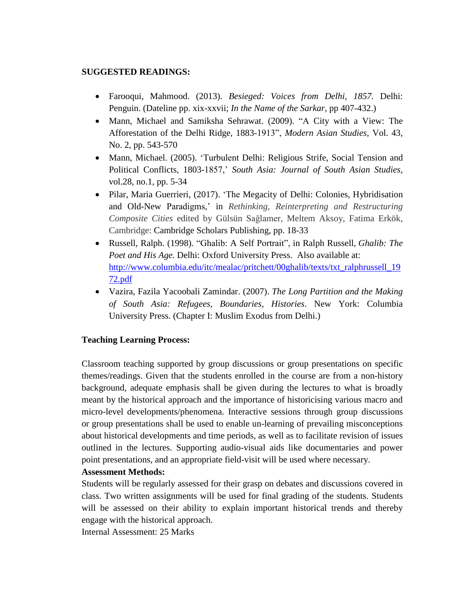#### **SUGGESTED READINGS:**

- Farooqui, Mahmood. (2013). *Besieged: Voices from Delhi, 1857.* Delhi: Penguin. (Dateline pp. xix-xxvii; *In the Name of the Sarkar*, pp 407-432.)
- Mann, Michael and Samiksha Sehrawat. (2009). "A City with a View: The Afforestation of the Delhi Ridge, 1883-1913", *Modern Asian Studies*, Vol. 43, No. 2, pp. 543-570
- Mann, Michael. (2005). 'Turbulent Delhi: Religious Strife, Social Tension and Political Conflicts, 1803-1857,' *South Asia: Journal of South Asian Studies*, vol.28, no.1, pp. 5-34
- Pilar, Maria Guerrieri, (2017). 'The Megacity of Delhi: Colonies, Hybridisation and Old-New Paradigms,' in *Rethinking, Reinterpreting and Restructuring Composite Cities* edited by Gülsün Sağlamer, Meltem Aksoy, Fatima Erkök, Cambridge: Cambridge Scholars Publishing, pp. 18-33
- Russell, Ralph. (1998). "Ghalib: A Self Portrait", in Ralph Russell, *Ghalib: The Poet and His Age.* Delhi: Oxford University Press. Also available at: [http://www.columbia.edu/itc/mealac/pritchett/00ghalib/texts/txt\\_ralphrussell\\_19](http://www.columbia.edu/itc/mealac/pritchett/00ghalib/texts/txt_ralphrussell_1972.pdf) [72.pdf](http://www.columbia.edu/itc/mealac/pritchett/00ghalib/texts/txt_ralphrussell_1972.pdf)
- Vazira, Fazila Yacoobali Zamindar. (2007). *The Long Partition and the Making of South Asia: Refugees, Boundaries, Histories*. New York: Columbia University Press. (Chapter I: Muslim Exodus from Delhi.)

# **Teaching Learning Process:**

Classroom teaching supported by group discussions or group presentations on specific themes/readings. Given that the students enrolled in the course are from a non-history background, adequate emphasis shall be given during the lectures to what is broadly meant by the historical approach and the importance of historicising various macro and micro-level developments/phenomena. Interactive sessions through group discussions or group presentations shall be used to enable un-learning of prevailing misconceptions about historical developments and time periods, as well as to facilitate revision of issues outlined in the lectures. Supporting audio-visual aids like documentaries and power point presentations, and an appropriate field-visit will be used where necessary.

# **Assessment Methods:**

Students will be regularly assessed for their grasp on debates and discussions covered in class. Two written assignments will be used for final grading of the students. Students will be assessed on their ability to explain important historical trends and thereby engage with the historical approach.

Internal Assessment: 25 Marks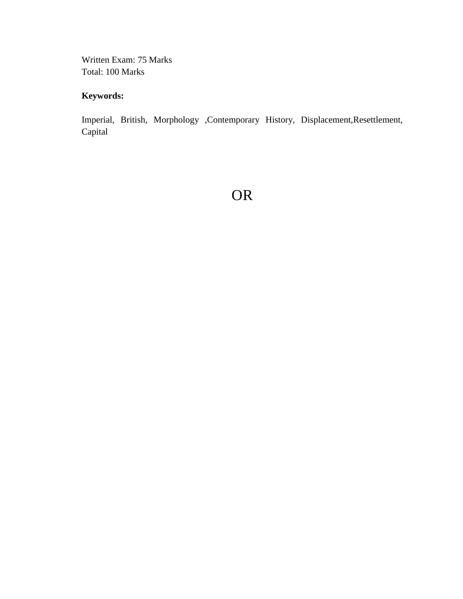Written Exam: 75 Marks Total: 100 Marks

# **Keywords:**

Imperial, British, Morphology ,Contemporary History, Displacement,Resettlement, Capital

OR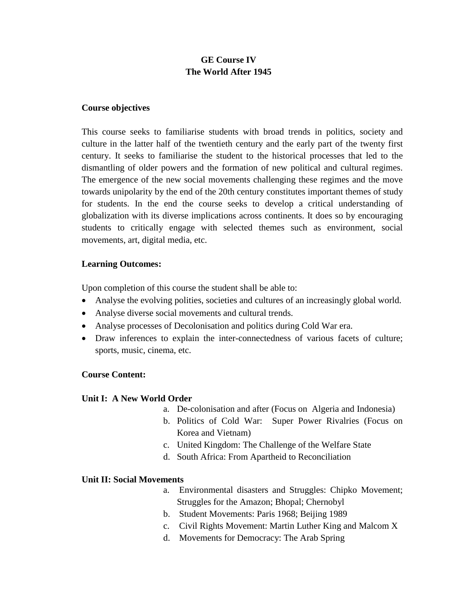# **GE Course IV The World After 1945**

#### **Course objectives**

This course seeks to familiarise students with broad trends in politics, society and culture in the latter half of the twentieth century and the early part of the twenty first century. It seeks to familiarise the student to the historical processes that led to the dismantling of older powers and the formation of new political and cultural regimes. The emergence of the new social movements challenging these regimes and the move towards unipolarity by the end of the 20th century constitutes important themes of study for students. In the end the course seeks to develop a critical understanding of globalization with its diverse implications across continents. It does so by encouraging students to critically engage with selected themes such as environment, social movements, art, digital media, etc.

#### **Learning Outcomes:**

Upon completion of this course the student shall be able to:

- Analyse the evolving polities, societies and cultures of an increasingly global world.
- Analyse diverse social movements and cultural trends.
- Analyse processes of Decolonisation and politics during Cold War era.
- Draw inferences to explain the inter-connectedness of various facets of culture; sports, music, cinema, etc.

#### **Course Content:**

#### **Unit I: A New World Order**

- a. De-colonisation and after (Focus on Algeria and Indonesia)
	- b. Politics of Cold War: Super Power Rivalries (Focus on Korea and Vietnam)
	- c. United Kingdom: The Challenge of the Welfare State
	- d. South Africa: From Apartheid to Reconciliation

#### **Unit II: Social Movements**

- a. Environmental disasters and Struggles: Chipko Movement; Struggles for the Amazon; Bhopal; Chernobyl
- b. Student Movements: Paris 1968; Beijing 1989
- c. Civil Rights Movement: Martin Luther King and Malcom X
- d. Movements for Democracy: The Arab Spring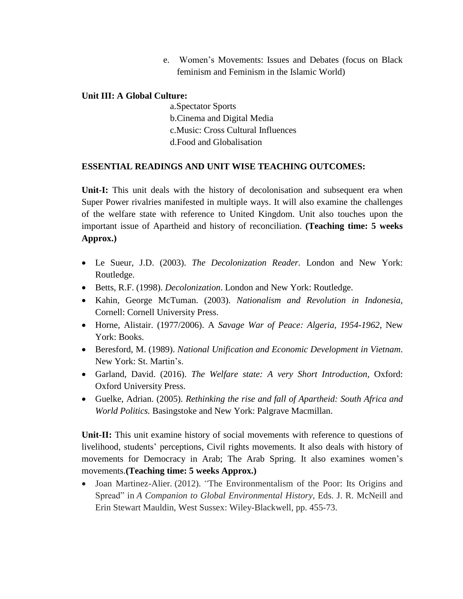e. Women's Movements: Issues and Debates (focus on Black feminism and Feminism in the Islamic World)

# **Unit III: A Global Culture:**

a.Spectator Sports b.Cinema and Digital Media c.Music: Cross Cultural Influences d.Food and Globalisation

#### **ESSENTIAL READINGS AND UNIT WISE TEACHING OUTCOMES:**

**Unit-I:** This unit deals with the history of decolonisation and subsequent era when Super Power rivalries manifested in multiple ways. It will also examine the challenges of the welfare state with reference to United Kingdom. Unit also touches upon the important issue of Apartheid and history of reconciliation. **(Teaching time: 5 weeks Approx.)**

- Le Sueur, J.D. (2003). *The Decolonization Reader.* London and New York: Routledge.
- Betts, R.F. (1998). *Decolonization*. London and New York: Routledge.
- Kahin, George McTuman. (2003). *Nationalism and Revolution in Indonesia,* Cornell: Cornell University Press.
- Horne, Alistair. (1977/2006). A *Savage War of Peace: Algeria, 1954-1962*, New York: Books.
- Beresford, M. (1989). *National Unification and Economic Development in Vietnam*. New York: St. Martin's.
- Garland, David. (2016). *The Welfare state: A very Short Introduction,* Oxford: Oxford University Press.
- Guelke, Adrian. (2005). *Rethinking the rise and fall of Apartheid: South Africa and World Politics.* Basingstoke and New York: Palgrave Macmillan.

**Unit-II:** This unit examine history of social movements with reference to questions of livelihood, students' perceptions, Civil rights movements. It also deals with history of movements for Democracy in Arab; The Arab Spring. It also examines women's movements.**(Teaching time: 5 weeks Approx.)**

 Joan Martinez-Alier*.* (2012). *"*The Environmentalism of the Poor: Its Origins and Spread" in *A Companion to Global Environmental History*, Eds. J. R. McNeill and Erin Stewart Mauldin, West Sussex: Wiley-Blackwell, pp. 455-73.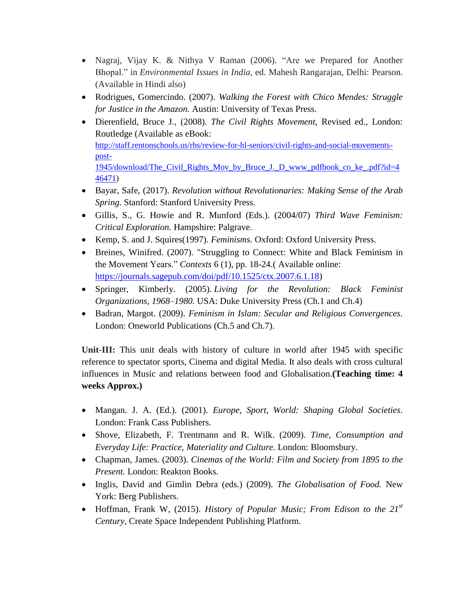- Nagraj, Vijay K. & Nithya V Raman (2006). "Are we Prepared for Another Bhopal." in *Environmental Issues in India*, ed. Mahesh Rangarajan, Delhi: Pearson. (Available in Hindi also)
- Rodrigues, Gomercindo. (2007). *Walking the Forest with Chico Mendes: Struggle for Justice in the Amazon.* Austin: University of Texas Press.
- Dierenfield, Bruce J*.,* (2008). *The Civil Rights Movement*, Revised ed., London: Routledge (Available as eBook: [http://staff.rentonschools.us/rhs/review-for-hl-seniors/civil-rights-and-social-movements](http://staff.rentonschools.us/rhs/review-for-hl-seniors/civil-rights-and-social-movements-post-1945/download/The_Civil_Rights_Mov_by_Bruce_J._D_www_pdfbook_co_ke_.pdf?id=446471)[post-](http://staff.rentonschools.us/rhs/review-for-hl-seniors/civil-rights-and-social-movements-post-1945/download/The_Civil_Rights_Mov_by_Bruce_J._D_www_pdfbook_co_ke_.pdf?id=446471)[1945/download/The\\_Civil\\_Rights\\_Mov\\_by\\_Bruce\\_J.\\_D\\_www\\_pdfbook\\_co\\_ke\\_.pdf?id=4](http://staff.rentonschools.us/rhs/review-for-hl-seniors/civil-rights-and-social-movements-post-1945/download/The_Civil_Rights_Mov_by_Bruce_J._D_www_pdfbook_co_ke_.pdf?id=446471) [46471\)](http://staff.rentonschools.us/rhs/review-for-hl-seniors/civil-rights-and-social-movements-post-1945/download/The_Civil_Rights_Mov_by_Bruce_J._D_www_pdfbook_co_ke_.pdf?id=446471)
- Bayar, Safe, (2017). *Revolution without Revolutionaries: Making Sense of the Arab Spring.* Stanford: Stanford University Press.
- Gillis, S., G. Howie and R. Munford (Eds.). (2004/07) *Third Wave Feminism: Critical Exploration.* Hampshire: Palgrave.
- Kemp, S. and J. Squires(1997). *Feminisms.* Oxford: Oxford University Press.
- Breines, Winifred. (2007). "Struggling to Connect: White and Black Feminism in the Movement Years." *Contexts* 6 (1), pp. 18-24.( Available online: [https://journals.sagepub.com/doi/pdf/10.1525/ctx.2007.6.1.18\)](https://journals.sagepub.com/doi/pdf/10.1525/ctx.2007.6.1.18)
- Springer, Kimberly. (2005). *Living for the Revolution: Black Feminist Organizations, 1968–1980.* USA: Duke University Press (Ch.1 and Ch.4)
- Badran, Margot. (2009). *Feminism in Islam: Secular and Religious Convergences.* London: Oneworld Publications (Ch.5 and Ch.7).

**Unit-III:** This unit deals with history of culture in world after 1945 with specific reference to spectator sports, Cinema and digital Media. It also deals with cross cultural influences in Music and relations between food and Globalisation.**(Teaching time: 4 weeks Approx.)**

- Mangan. J. A. (Ed.). (2001). *Europe, Sport, World: Shaping Global Societies*. London: Frank Cass Publishers.
- Shove, Elizabeth, F. Trentmann and R. Wilk. (2009). *Time, Consumption and Everyday Life: Practice, Materiality and Culture.* London: Bloomsbury.
- Chapman, James. (2003). *Cinemas of the World: Film and Society from 1895 to the Present.* London: Reakton Books.
- Inglis, David and Gimlin Debra (eds.) (2009). *The Globalisation of Food.* New York: Berg Publishers.
- Hoffman, Frank W, (2015). *History of Popular Music; From Edison to the 21st Century,* Create Space Independent Publishing Platform.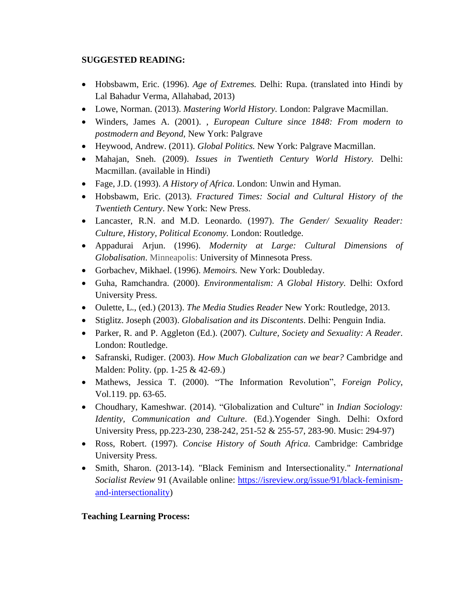# **SUGGESTED READING:**

- Hobsbawm, Eric. (1996). *Age of Extremes.* Delhi: Rupa. (translated into Hindi by Lal Bahadur Verma, Allahabad, 2013)
- Lowe, Norman. (2013). *Mastering World History.* London: Palgrave Macmillan.
- Winders, James A. (2001). , *European Culture since 1848: From modern to postmodern and Beyond*, New York: Palgrave
- Heywood, Andrew. (2011). *Global Politics.* New York: Palgrave Macmillan.
- Mahajan, Sneh. (2009). *Issues in Twentieth Century World History.* Delhi: Macmillan. (available in Hindi)
- Fage, J.D. (1993). *A History of Africa*. London: Unwin and Hyman.
- Hobsbawm, Eric. (2013). *Fractured Times: Social and Cultural History of the Twentieth Century*. New York: New Press.
- Lancaster, R.N. and M.D. Leonardo. (1997). *The Gender/ Sexuality Reader: Culture, History, Political Economy.* London: Routledge.
- Appadurai Arjun. (1996). *Modernity at Large: Cultural Dimensions of Globalisation*. Minneapolis: University of Minnesota Press.
- Gorbachev, Mikhael. (1996). *Memoirs.* New York: Doubleday.
- Guha, Ramchandra. (2000). *Environmentalism: A Global History.* Delhi: Oxford University Press.
- Oulette, L., (ed.) (2013). *The Media Studies Reader* New York: Routledge, 2013.
- Stiglitz. Joseph (2003). *Globalisation and its Discontents*. Delhi: Penguin India.
- Parker, R. and P. Aggleton (Ed.). (2007). *Culture, Society and Sexuality: A Reader*. London: Routledge.
- Safranski, Rudiger. (2003). *How Much Globalization can we bear?* Cambridge and Malden: Polity. (pp. 1-25 & 42-69.)
- Mathews, Jessica T. (2000). "The Information Revolution", *Foreign Policy*, Vol.119. pp. 63-65.
- Choudhary, Kameshwar. (2014). "Globalization and Culture" in *Indian Sociology: Identity, Communication and Culture*. (Ed.).Yogender Singh. Delhi: Oxford University Press, pp.223-230, 238-242, 251-52 & 255-57, 283-90. Music: 294-97)
- Ross, Robert. (1997). *Concise History of South Africa*. Cambridge: Cambridge University Press.
- Smith, Sharon. (2013-14). "Black Feminism and Intersectionality." *International Socialist Review* 91 (Available online: [https://isreview.org/issue/91/black-feminism](https://isreview.org/issue/91/black-feminism-and-intersectionality)[and-intersectionality\)](https://isreview.org/issue/91/black-feminism-and-intersectionality)

# **Teaching Learning Process:**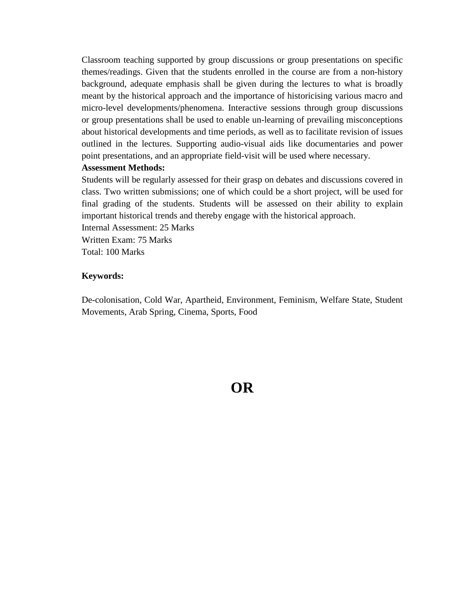Classroom teaching supported by group discussions or group presentations on specific themes/readings. Given that the students enrolled in the course are from a non-history background, adequate emphasis shall be given during the lectures to what is broadly meant by the historical approach and the importance of historicising various macro and micro-level developments/phenomena. Interactive sessions through group discussions or group presentations shall be used to enable un-learning of prevailing misconceptions about historical developments and time periods, as well as to facilitate revision of issues outlined in the lectures. Supporting audio-visual aids like documentaries and power point presentations, and an appropriate field-visit will be used where necessary.

#### **Assessment Methods:**

Students will be regularly assessed for their grasp on debates and discussions covered in class. Two written submissions; one of which could be a short project, will be used for final grading of the students. Students will be assessed on their ability to explain important historical trends and thereby engage with the historical approach. Internal Assessment: 25 Marks

Written Exam: 75 Marks Total: 100 Marks

#### **Keywords:**

De-colonisation, Cold War, Apartheid, Environment, Feminism, Welfare State, Student Movements, Arab Spring, Cinema, Sports, Food

**OR**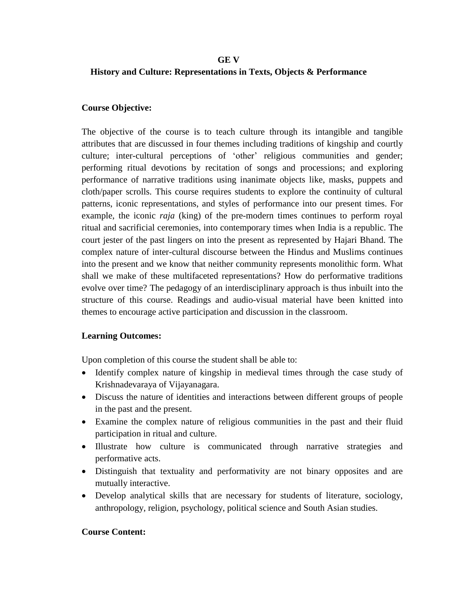#### **GE V**

# **History and Culture: Representations in Texts, Objects & Performance**

#### **Course Objective:**

The objective of the course is to teach culture through its intangible and tangible attributes that are discussed in four themes including traditions of kingship and courtly culture; inter-cultural perceptions of 'other' religious communities and gender; performing ritual devotions by recitation of songs and processions; and exploring performance of narrative traditions using inanimate objects like, masks, puppets and cloth/paper scrolls. This course requires students to explore the continuity of cultural patterns, iconic representations, and styles of performance into our present times. For example, the iconic *raja* (king) of the pre-modern times continues to perform royal ritual and sacrificial ceremonies, into contemporary times when India is a republic. The court jester of the past lingers on into the present as represented by Hajari Bhand. The complex nature of inter-cultural discourse between the Hindus and Muslims continues into the present and we know that neither community represents monolithic form. What shall we make of these multifaceted representations? How do performative traditions evolve over time? The pedagogy of an interdisciplinary approach is thus inbuilt into the structure of this course. Readings and audio-visual material have been knitted into themes to encourage active participation and discussion in the classroom.

# **Learning Outcomes:**

Upon completion of this course the student shall be able to:

- Identify complex nature of kingship in medieval times through the case study of Krishnadevaraya of Vijayanagara.
- Discuss the nature of identities and interactions between different groups of people in the past and the present.
- Examine the complex nature of religious communities in the past and their fluid participation in ritual and culture.
- Illustrate how culture is communicated through narrative strategies and performative acts.
- Distinguish that textuality and performativity are not binary opposites and are mutually interactive.
- Develop analytical skills that are necessary for students of literature, sociology, anthropology, religion, psychology, political science and South Asian studies.

# **Course Content:**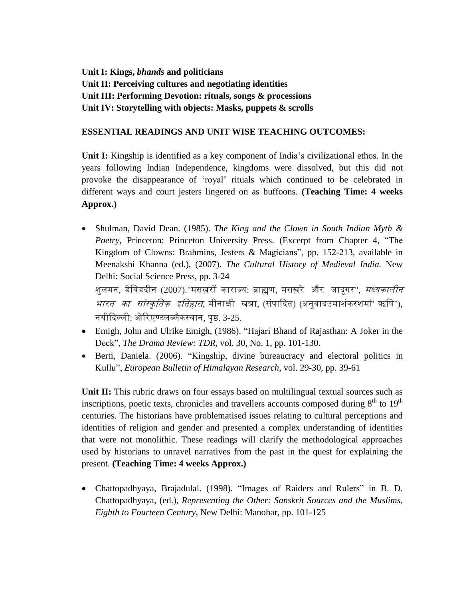**Unit I: Kings,** *bhands* **and politicians Unit II: Perceiving cultures and negotiating identities Unit III: Performing Devotion: rituals, songs & processions Unit IV: Storytelling with objects: Masks, puppets & scrolls**

# **ESSENTIAL READINGS AND UNIT WISE TEACHING OUTCOMES:**

**Unit I:** Kingship is identified as a key component of India's civilizational ethos. In the years following Indian Independence, kingdoms were dissolved, but this did not provoke the disappearance of 'royal' rituals which continued to be celebrated in different ways and court jesters lingered on as buffoons. **(Teaching Time: 4 weeks Approx.)**

 Shulman, David Dean. (1985). *The King and the Clown in South Indian Myth & Poetry*, Princeton: Princeton University Press. (Excerpt from Chapter 4, "The Kingdom of Clowns: Brahmins, Jesters & Magicians", pp. 152-213, available in Meenakshi Khanna (ed.), (2007). *The Cultural History of Medieval India.* New Delhi: Social Science Press, pp. 3-24 शुलमन, डेविडदीन (2007)."मसख़रों काराज्य: ब्राह्मण, मसख़रे और जादगर", *मध्यकालीन* 

*भारत का सांस्कृतिक इतिहास*, मीनाक्षी खन्ना, (संपादित) (अनुवादउमाशंकरशर्मा' ऋषि'), नयीदिल्ली: ओरिएण्टलब्लैकस्वान, पृष्ठ. 3-25.

- Emigh, John and Ulrike Emigh, (1986). "Hajari Bhand of Rajasthan: A Joker in the Deck", *The Drama Review: TDR*, vol. 30, No. 1, pp. 101-130.
- Berti, Daniela. (2006). "Kingship, divine bureaucracy and electoral politics in Kullu", *European Bulletin of Himalayan Research*, vol. 29-30, pp. 39-61

Unit **II:** This rubric draws on four essays based on multilingual textual sources such as inscriptions, poetic texts, chronicles and travellers accounts composed during  $8<sup>th</sup>$  to  $19<sup>th</sup>$ centuries. The historians have problematised issues relating to cultural perceptions and identities of religion and gender and presented a complex understanding of identities that were not monolithic. These readings will clarify the methodological approaches used by historians to unravel narratives from the past in the quest for explaining the present. **(Teaching Time: 4 weeks Approx.)**

 Chattopadhyaya, Brajadulal. (1998). "Images of Raiders and Rulers" in B. D. Chattopadhyaya, (ed.), *Representing the Other: Sanskrit Sources and the Muslims, Eighth to Fourteen Century*, New Delhi: Manohar, pp. 101-125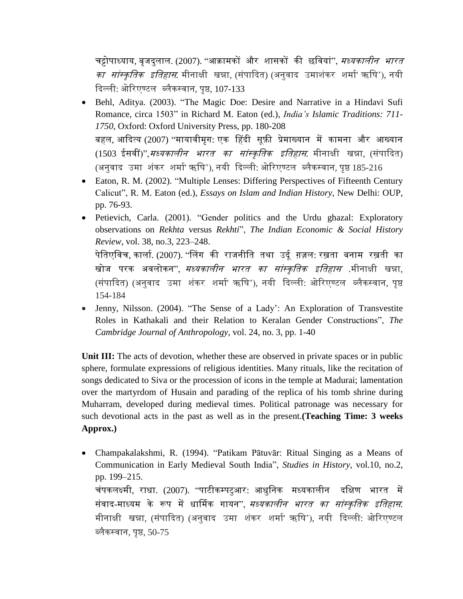चट्टोपाध्याय, बृजदुलाल. (2007). ''आक्रामकों और शासकों की छवियां'', *मध्यकालीन भारत का सांस्कृतिक इतिहास*. मीनाक्षी खन्ना, (संपादित) (अनुवाद उमाशंकर शर्मा' ऋषि'), नयी दिल्ली: ओरिएण्टल ब्लैकस्वान, पृष्ठ, 107-133

- Behl, Aditya. (2003). "The Magic Doe: Desire and Narrative in a Hindavi Sufi Romance, circa 1503" in Richard M. Eaton (ed.), *India's Islamic Traditions: 711- 1750*, Oxford: Oxford University Press, pp. 180-208 बहल, आदित्य (2007) "र्मायािीर्मृग: एक हहिी सूफ़ी प्रेर्माख्यान र्में कार्मना और आख्यान (1503 ईसवीं)",*मध्यकालीन भारत का सांस्कृतिक इतिहास*. मीनाक्षी खन्ना, (संपादित) (अनुवाद उमा शंकर शर्मा' ऋषि'), नयी दिल्ली: ओरिएण्टल ब्लैकस्वान, पृष्ठ 185-216
- Eaton, R. M. (2002). "Multiple Lenses: Differing Perspectives of Fifteenth Century Calicut", R. M. Eaton (ed.), *Essays on Islam and Indian History*, New Delhi: OUP, pp. 76-93.
- Petievich, Carla. (2001). "Gender politics and the Urdu ghazal: Exploratory observations on *Rekhta* versus *Rekhti*", *The Indian Economic & Social History Review*, vol. 38, no.3, 223–248.

पेतिएविच, कार्ला. (2007). "लिंग की राजनीति तथा उर्दू ग़ज़ल: रख़ता बनाम रख़ती का खोज परक अवलोकन'', *मध्यकालीन भारत का सांस्कृतिक इतिहास* .मीनाक्षी खन्ना, (संपादित) (अनुवाद उमा शंकर शर्मा' ऋषि'), नयी दिल्ली: ओरिएण्टल ब्लैकस्वान, पृष्ठ 154-184

• Jenny, Nilsson. (2004). "The Sense of a Lady': An Exploration of Transvestite Roles in Kathakali and their Relation to Keralan Gender Constructions", *The Cambridge Journal of Anthropology*, vol. 24, no. 3, pp. 1-40

**Unit III:** The acts of devotion, whether these are observed in private spaces or in public sphere, formulate expressions of religious identities. Many rituals, like the recitation of songs dedicated to Siva or the procession of icons in the temple at Madurai; lamentation over the martyrdom of Husain and parading of the replica of his tomb shrine during Muharram, developed during medieval times. Political patronage was necessary for such devotional acts in the past as well as in the present.**(Teaching Time: 3 weeks Approx.)**

 Champakalakshmi, R. (1994). "Patikam Pātuvār: Ritual Singing as a Means of Communication in Early Medieval South India", *Studies in History*, vol.10, no.2, pp. 199–215. चंपकलक्ष्र्मी, राधा. (2007). "पाटीकम्पटुआर: आधुतनक र्मध्यकालीन ितक्षण भारत र्में संवाद-माध्यम के रूप में धार्मिक गायन", *मध्यकालीन भारत का सांस्कृतिक इतिहास.* मीनाक्षी खन्ना, (संपादित) (अनुवाद उमा शंकर शर्मा' ऋषि'), नयी दिल्ली: ओरिएण्टल ब्लैकस्वान, पृष्ठ, 50-75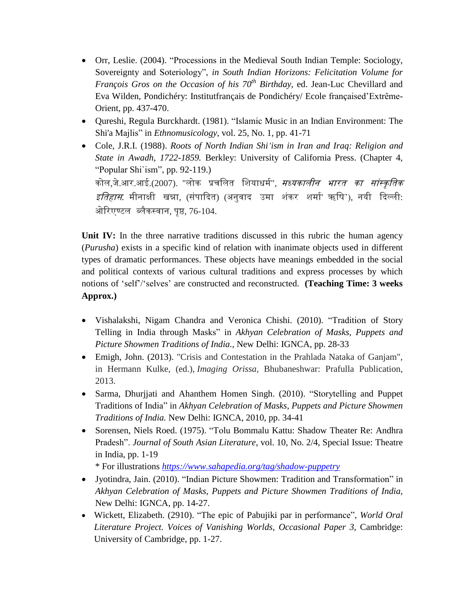- Orr, Leslie. (2004). "Processions in the Medieval South Indian Temple: Sociology, Sovereignty and Soteriology", *in South Indian Horizons: Felicitation Volume for François Gros on the Occasion of his 70th Birthday*, ed. Jean-Luc Chevillard and Eva Wilden, Pondichéry: Institutfrançais de Pondichéry/ Ecole françaised'Extrême-Orient, pp. 437-470.
- Qureshi, Regula Burckhardt. (1981). "Islamic Music in an Indian Environment: The Shi'a Majlis" in *Ethnomusicology*, vol. 25, No. 1, pp. 41-71
- Cole, J.R.I. (1988). *Roots of North Indian Shi'ism in Iran and Iraq: Religion and State in Awadh, 1722-1859.* Berkley: University of California Press. (Chapter 4, "Popular Shi`ism", pp. 92-119.) कोल,जे.आर.आई.(2007). "लोक प्रचलित शियाधर्म", *मध्यकालीन भारत का सांस्कृतिक इतिहास*. मीनाक्षी खन्ना, (संपादित) (अनुवाद उमा शंकर शर्मा' ऋषि'), नयी दिल्ली: ओरिएण्टल ब्लैकस्वान, पृष्ठ, 76-104.

**Unit IV:** In the three narrative traditions discussed in this rubric the human agency (*Purusha*) exists in a specific kind of relation with inanimate objects used in different types of dramatic performances. These objects have meanings embedded in the social and political contexts of various cultural traditions and express processes by which notions of 'self'/'selves' are constructed and reconstructed. **(Teaching Time: 3 weeks Approx.)**

- Vishalakshi, Nigam Chandra and Veronica Chishi. (2010). "Tradition of Story Telling in India through Masks" in *Akhyan Celebration of Masks, Puppets and Picture Showmen Traditions of India.*, New Delhi: IGNCA, pp. 28-33
- Emigh, John. (2013). "Crisis and Contestation in the Prahlada Nataka of Ganjam", in Hermann Kulke, (ed.), *Imaging Orissa,* Bhubaneshwar: Prafulla Publication, 2013.
- Sarma, Dhurijati and Ahanthem Homen Singh. (2010). "Storytelling and Puppet Traditions of India" in *Akhyan Celebration of Masks, Puppets and Picture Showmen Traditions of India.* New Delhi: IGNCA, 2010, pp. 34-41
- Sorensen, Niels Roed. (1975). "Tolu Bommalu Kattu: Shadow Theater Re: Andhra Pradesh". *Journal of South Asian Literature*, vol. 10, No. 2/4, Special Issue: Theatre in India, pp. 1-19

\* For illustrations *<https://www.sahapedia.org/tag/shadow-puppetry>*

- Jyotindra, Jain. (2010). "Indian Picture Showmen: Tradition and Transformation" in *Akhyan Celebration of Masks, Puppets and Picture Showmen Traditions of India*, New Delhi: IGNCA, pp. 14-27.
- Wickett, Elizabeth. (2910). "The epic of Pabujiki par in performance", *World Oral Literature Project. Voices of Vanishing Worlds, Occasional Paper 3*, Cambridge: University of Cambridge, pp. 1-27.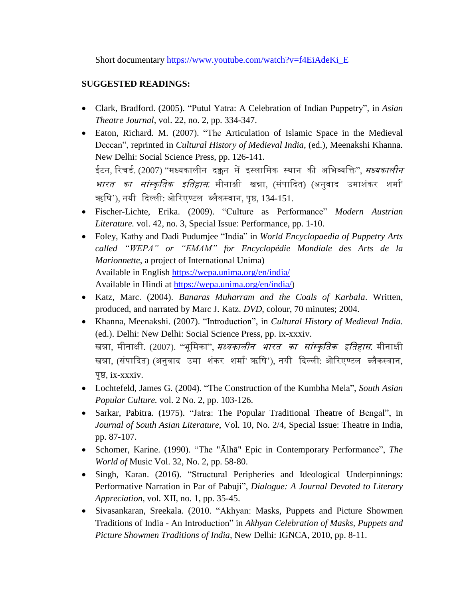Short documentary [https://www.youtube.com/watch?v=f4EiAdeKi\\_E](https://www.youtube.com/watch?v=f4EiAdeKi_E)

# **SUGGESTED READINGS:**

- Clark, Bradford. (2005). "Putul Yatra: A Celebration of Indian Puppetry", in *Asian Theatre Journal*, vol. 22, no. 2, pp. 334-347.
- Eaton, Richard. M. (2007). "The Articulation of Islamic Space in the Medieval Deccan", reprinted in *Cultural History of Medieval India*, (ed.), Meenakshi Khanna. New Delhi: Social Science Press, pp. 126-141. ईटन, रिचर्ड. (2007) ''मध्यकालीन दक्कन में इस्लामिक स्थान की अभिव्यक्ति'', *मध्यकालीन भारत का सांस्कृतिक इतिहास*. मीनाक्षी खन्ना, (संपादित) (अनुवाद उमाशंकर शर्मा' ऋषि'), नयी दिल्ली: ओरिएण्टल ब्लैकस्वान, पृष्ठ, 134-151.
- Fischer-Lichte, Erika. (2009). "Culture as Performance" *Modern Austrian Literature.* vol. 42, no. 3, Special Issue: Performance, pp. 1-10.
- Foley, Kathy and Dadi Pudumjee "India" in *World Encyclopaedia of Puppetry Arts called "WEPA" or "EMAM" for Encyclopédie Mondiale des Arts de la Marionnette*, a project of International Unima) Available in English <https://wepa.unima.org/en/india/> Available in Hindi at <https://wepa.unima.org/en/india/>)
- Katz, Marc. (2004). *Banaras Muharram and the Coals of Karbala*. Written, produced, and narrated by Marc J. Katz. *DVD*, colour, 70 minutes; 2004.
- Khanna, Meenakshi. (2007). "Introduction", in *Cultural History of Medieval India.* (ed.). Delhi: New Delhi: Social Science Press, pp. ix-xxxiv. खन्ना, मीनाक्षी. (2007). "भूमिका", *मध्यकालीन भारत का सांस्कृतिक इतिहास*. मीनाक्षी खन्ना, (संपादित) (अनुवाद उमा शंकर शर्मा' ऋषि'), नयी दिल्ली: ओरिएण्टल ब्लैकस्वान, पृष्ठ, ix-xxxiv.
- Lochtefeld, James G. (2004). "The Construction of the Kumbha Mela", *South Asian Popular Culture.* vol. 2 No. 2, pp. 103-126.
- Sarkar, Pabitra. (1975). "Jatra: The Popular Traditional Theatre of Bengal", in *Journal of South Asian Literature*, Vol. 10, No. 2/4, Special Issue: Theatre in India, pp. 87-107.
- Schomer, Karine. (1990). "The "Ālhā" Epic in Contemporary Performance", *The World of* Music Vol. 32, No. 2, pp. 58-80.
- Singh, Karan. (2016). "Structural Peripheries and Ideological Underpinnings: Performative Narration in Par of Pabuji", *Dialogue: A Journal Devoted to Literary Appreciation*, vol. XII, no. 1, pp. 35-45.
- Sivasankaran, Sreekala. (2010. "Akhyan: Masks, Puppets and Picture Showmen Traditions of India - An Introduction" in *Akhyan Celebration of Masks, Puppets and Picture Showmen Traditions of India*, New Delhi: IGNCA, 2010, pp. 8-11.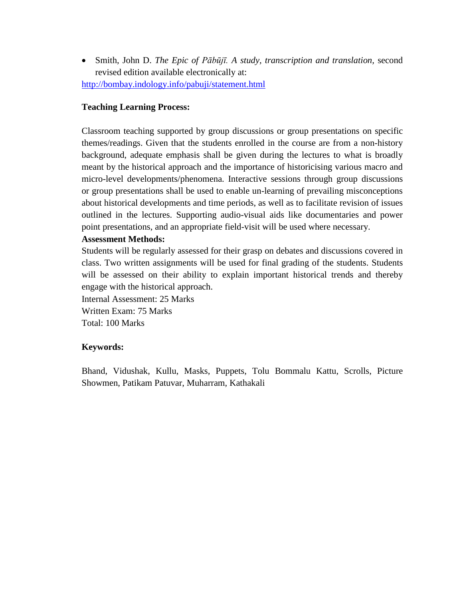Smith, John D. *The Epic of Pābūjī. A study, transcription and translation,* second revised edition available electronically at: <http://bombay.indology.info/pabuji/statement.html>

#### **Teaching Learning Process:**

Classroom teaching supported by group discussions or group presentations on specific themes/readings. Given that the students enrolled in the course are from a non-history background, adequate emphasis shall be given during the lectures to what is broadly meant by the historical approach and the importance of historicising various macro and micro-level developments/phenomena. Interactive sessions through group discussions or group presentations shall be used to enable un-learning of prevailing misconceptions about historical developments and time periods, as well as to facilitate revision of issues outlined in the lectures. Supporting audio-visual aids like documentaries and power point presentations, and an appropriate field-visit will be used where necessary.

#### **Assessment Methods:**

Students will be regularly assessed for their grasp on debates and discussions covered in class. Two written assignments will be used for final grading of the students. Students will be assessed on their ability to explain important historical trends and thereby engage with the historical approach.

Internal Assessment: 25 Marks Written Exam: 75 Marks Total: 100 Marks

#### **Keywords:**

Bhand, Vidushak, Kullu, Masks, Puppets, Tolu Bommalu Kattu, Scrolls, Picture Showmen, Patikam Patuvar, Muharram, Kathakali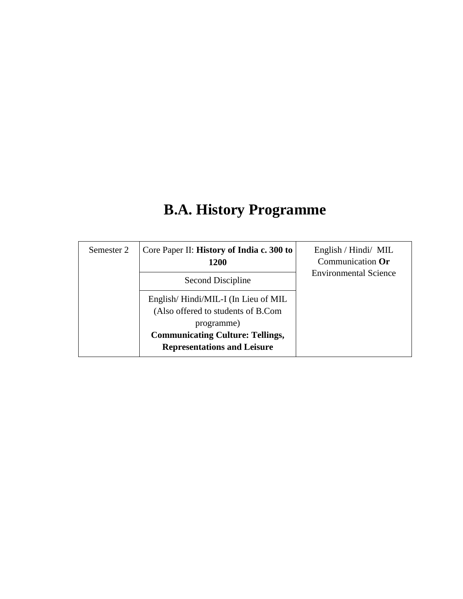# **B.A. History Programme**

| Semester 2 | Core Paper II: History of India c. 300 to<br>1200                                       | English / Hindi/ MIL<br>Communication Or |
|------------|-----------------------------------------------------------------------------------------|------------------------------------------|
|            | Second Discipline                                                                       | <b>Environmental Science</b>             |
|            | English/Hindi/MIL-I (In Lieu of MIL<br>(Also offered to students of B.Com<br>programme) |                                          |
|            | <b>Communicating Culture: Tellings,</b><br><b>Representations and Leisure</b>           |                                          |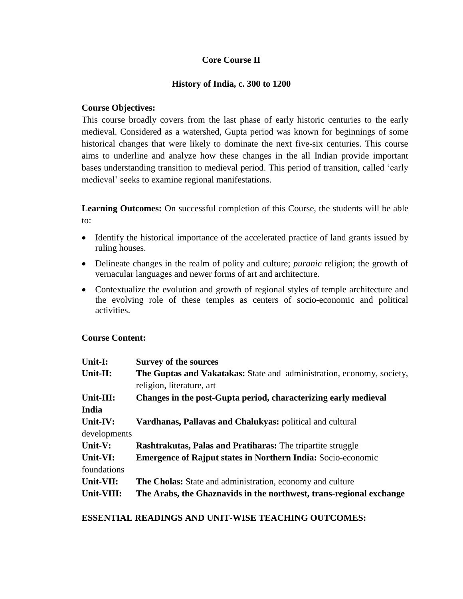# **Core Course II**

#### **History of India, c. 300 to 1200**

#### **Course Objectives:**

This course broadly covers from the last phase of early historic centuries to the early medieval. Considered as a watershed, Gupta period was known for beginnings of some historical changes that were likely to dominate the next five-six centuries. This course aims to underline and analyze how these changes in the all Indian provide important bases understanding transition to medieval period. This period of transition, called 'early medieval' seeks to examine regional manifestations.

**Learning Outcomes:** On successful completion of this Course, the students will be able to:

- Identify the historical importance of the accelerated practice of land grants issued by ruling houses.
- Delineate changes in the realm of polity and culture; *puranic* religion; the growth of vernacular languages and newer forms of art and architecture.
- Contextualize the evolution and growth of regional styles of temple architecture and the evolving role of these temples as centers of socio-economic and political activities.

#### **Course Content:**

| Unit-I:      | <b>Survey of the sources</b>                                                                       |
|--------------|----------------------------------------------------------------------------------------------------|
| Unit-II:     | The Guptas and Vakatakas: State and administration, economy, society,<br>religion, literature, art |
| Unit-III:    | Changes in the post-Gupta period, characterizing early medieval                                    |
| India        |                                                                                                    |
| Unit-IV:     | Vardhanas, Pallavas and Chalukyas: political and cultural                                          |
| developments |                                                                                                    |
| Unit-V:      | <b>Rashtrakutas, Palas and Pratiharas:</b> The tripartite struggle                                 |
| Unit-VI:     | <b>Emergence of Rajput states in Northern India:</b> Socio-economic                                |
| foundations  |                                                                                                    |
| Unit-VII:    | <b>The Cholas:</b> State and administration, economy and culture                                   |
| Unit-VIII:   | The Arabs, the Ghaznavids in the northwest, trans-regional exchange                                |

**ESSENTIAL READINGS AND UNIT-WISE TEACHING OUTCOMES:**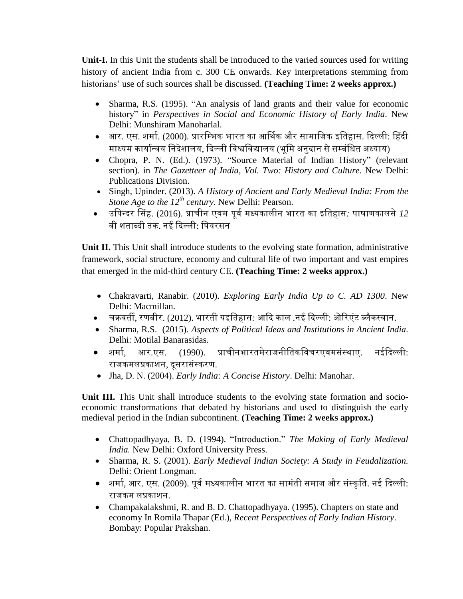**Unit-I.** In this Unit the students shall be introduced to the varied sources used for writing history of ancient India from c. 300 CE onwards. Key interpretations stemming from historians' use of such sources shall be discussed. **(Teaching Time: 2 weeks approx.)**

- Sharma, R.S. (1995). "An analysis of land grants and their value for economic history" in *Perspectives in Social and Economic History of Early India*. New Delhi: Munshiram Manoharlal.
- आर. एस. शर्मा. (2000). प्रारम्भिक भारत का आर्थिक और सामाजिक इतिहास. दिल्ली: हिंदी माध्यम कार्यान्वय निदेशालय, दिल्ली विश्वविद्यालय (भूमि अनुदान से सम्बंधित अध्याय)
- Chopra, P. N. (Ed.). (1973). "Source Material of Indian History" (relevant section). in *The Gazetteer of India, Vol. Two: History and Culture.* New Delhi: Publications Division.
- Singh, Upinder. (2013). *A History of Ancient and Early Medieval India: From the Stone Age to the 12th century.* New Delhi: Pearson.
- उतपन्िर हसह. (2016). प्राचीन एिर्म पूिमर्मध्यकालीन भारत का इततहास*:* पािाणकालसे*12* वी शताब्दी तक. नई दिल्ली: पियरसन

**Unit II.** This Unit shall introduce students to the evolving state formation, administrative framework, social structure, economy and cultural life of two important and vast empires that emerged in the mid-third century CE. **(Teaching Time: 2 weeks approx.)**

- Chakravarti, Ranabir. (2010). *Exploring Early India Up to C. AD 1300*. New Delhi: Macmillan.
- चक्रिती, रणबीर. (2012). भारती यइततहास*:* आदि काल *.*नई दिल्ली: ओररएंट ब्लैकस्िान.
- Sharma, R.S. (2015). *Aspects of Political Ideas and Institutions in Ancient India*. Delhi: Motilal Banarasidas.
- शर्माम, आर.एस. (1990). प्राचीनभारतर्मेरािनीततकतिचरएिर्मसंस्थाए. नईदिल्ली: राजकमलप्रकाशन, दुसरासंस्करण.
- Jha, D. N. (2004). *Early India: A Concise History*. Delhi: Manohar.

**Unit III.** This Unit shall introduce students to the evolving state formation and socioeconomic transformations that debated by historians and used to distinguish the early medieval period in the Indian subcontinent. **(Teaching Time: 2 weeks approx.)**

- Chattopadhyaya, B. D. (1994). "Introduction." *The Making of Early Medieval India.* New Delhi: Oxford University Press.
- Sharma, R. S. (2001). *Early Medieval Indian Society: A Study in Feudalization.* Delhi: Orient Longman.
- शर्मा, आर. एस. (2009). पूर्व मध्यकालीन भारत का सामंती समाज और संस्कृति. नई दिल्ली: राजकम लप्रकाशन.
- Champakalakshmi, R. and B. D. Chattopadhyaya. (1995). Chapters on state and economy In Romila Thapar (Ed.), *Recent Perspectives of Early Indian History*. Bombay: Popular Prakshan.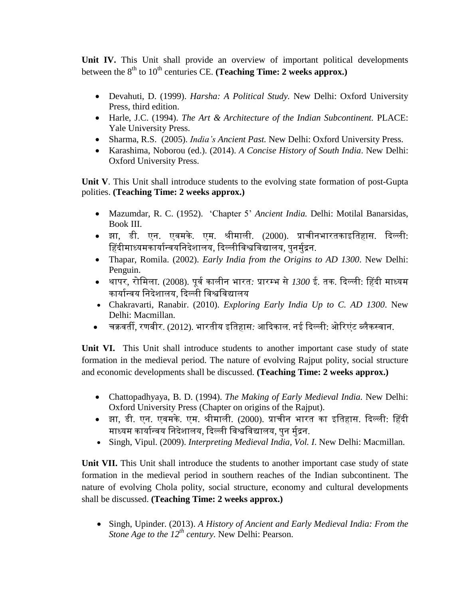**Unit IV.** This Unit shall provide an overview of important political developments between the 8<sup>th</sup> to 10<sup>th</sup> centuries CE. (Teaching Time: 2 weeks approx.)

- Devahuti, D. (1999). *Harsha: A Political Study.* New Delhi: Oxford University Press, third edition.
- Harle, J.C. (1994). *The Art & Architecture of the Indian Subcontinent.* PLACE: Yale University Press.
- Sharma, R.S. (2005). *India's Ancient Past.* New Delhi: Oxford University Press.
- Karashima, Noborou (ed.). (2014). *A Concise History of South India*. New Delhi: Oxford University Press.

**Unit V**. This Unit shall introduce students to the evolving state formation of post-Gupta polities. **(Teaching Time: 2 weeks approx.)**

- Mazumdar, R. C. (1952). 'Chapter 5' *Ancient India.* Delhi: Motilal Banarsidas, Book III.
- झा, डी. एन. एिर्मके. एर्म. ीीर्माली. (2000). प्राचीनभारतकाइततहास. दिल्ली: हिंदीमाध्यमकार्यान्वयनिदेशालय, दिल्लीविश्वविद्यालय, पुनर्मुद्रन.
- Thapar, Romila. (2002). *Early India from the Origins to AD 1300*. New Delhi: Penguin.
- थापर, रोतर्मला. (2008). पूिमकालीन भारत*:* प्रारम्भ से*1300* ई*.* तक. दिल्ली: हहिी र्माध्यर्म कार्यान्वय निदेशालय, दिल्ली विश्वविद्यालय
- Chakravarti, Ranabir. (2010). *Exploring Early India Up to C. AD 1300*. New Delhi: Macmillan.
- चक्रिती, रणबीर. (2012). भारतीय इततहास*:* आदिकाल*.* नई दिल्ली: ओररएंट ब्लैकस्िान.

**Unit VI.** This Unit shall introduce students to another important case study of state formation in the medieval period. The nature of evolving Rajput polity, social structure and economic developments shall be discussed. **(Teaching Time: 2 weeks approx.)**

- Chattopadhyaya, B. D. (1994). *The Making of Early Medieval India.* New Delhi: Oxford University Press (Chapter on origins of the Rajput).
- झा, डी. एन. एिर्मके. एर्म. ीीर्माली. (2000). प्राचीन भारत का इततहास. दिल्ली: हहिी माध्यम कार्यान्वय निदेशालय, दिल्ली विश्वविद्यालय, पन र्मद्रन.
- Singh, Vipul. (2009). *Interpreting Medieval India, Vol. I*. New Delhi: Macmillan.

**Unit VII.** This Unit shall introduce the students to another important case study of state formation in the medieval period in southern reaches of the Indian subcontinent. The nature of evolving Chola polity, social structure, economy and cultural developments shall be discussed. **(Teaching Time: 2 weeks approx.)**

 Singh, Upinder. (2013). *A History of Ancient and Early Medieval India: From the Stone Age to the 12th century.* New Delhi: Pearson.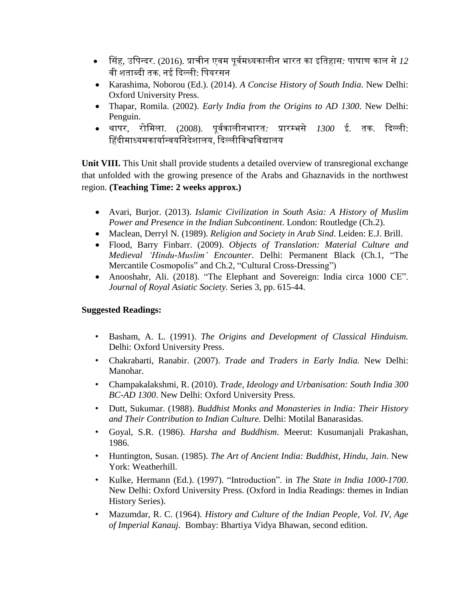- हसह, उतपन्िर. (2016). प्राचीन एिर्म पूिमर्मध्यकालीन भारत का इततहास*:* पािाण काल से*12* वी शताब्दी तक. नई दिल्ली<sup>.</sup> पियरसन
- Karashima, Noborou (Ed.). (2014). *A Concise History of South India*. New Delhi: Oxford University Press.
- Thapar, Romila. (2002). *Early India from the Origins to AD 1300*. New Delhi: Penguin.
- थापर, रोतर्मला. (2008). पूिमकालीनभारत*:* प्रारम्भसे *1300* ई*.* तक. दिल्ली: हिंदीमाध्यमकार्यान्वयनिदेशालय, दिल्लीविश्वविद्यालय

**Unit VIII.** This Unit shall provide students a detailed overview of transregional exchange that unfolded with the growing presence of the Arabs and Ghaznavids in the northwest region. **(Teaching Time: 2 weeks approx.)**

- Avari, Burjor. (2013). *Islamic Civilization in South Asia: A History of Muslim Power and Presence in the Indian Subcontinent*. London: Routledge (Ch.2).
- Maclean, Derryl N. (1989). *Religion and Society in Arab Sind*. Leiden: E.J. Brill.
- Flood, Barry Finbarr. (2009). *Objects of Translation: Material Culture and Medieval 'Hindu-Muslim' Encounter*. Delhi: Permanent Black (Ch.1, "The Mercantile Cosmopolis" and Ch.2, "Cultural Cross-Dressing")
- Anooshahr, Ali. (2018). "The Elephant and Sovereign: India circa 1000 CE". *Journal of Royal Asiatic Society.* Series 3, pp. 615-44.

# **Suggested Readings:**

- Basham, A. L. (1991). *The Origins and Development of Classical Hinduism.* Delhi: Oxford University Press.
- Chakrabarti, Ranabir. (2007). *Trade and Traders in Early India.* New Delhi: Manohar.
- Champakalakshmi, R. (2010). *Trade, Ideology and Urbanisation: South India 300 BC-AD 1300*. New Delhi: Oxford University Press.
- Dutt, Sukumar. (1988). *Buddhist Monks and Monasteries in India: Their History and Their Contribution to Indian Culture.* Delhi: Motilal Banarasidas.
- Goyal, S.R. (1986). *Harsha and Buddhism*. Meerut: Kusumanjali Prakashan, 1986.
- Huntington, Susan. (1985). *The Art of Ancient India: Buddhist, Hindu, Jain*. New York: Weatherhill.
- Kulke, Hermann (Ed.). (1997). "Introduction". in *The State in India 1000-1700*. New Delhi: Oxford University Press. (Oxford in India Readings: themes in Indian History Series).
- Mazumdar, R. C. (1964). *History and Culture of the Indian People, Vol. IV, Age of Imperial Kanauj.* Bombay: Bhartiya Vidya Bhawan, second edition.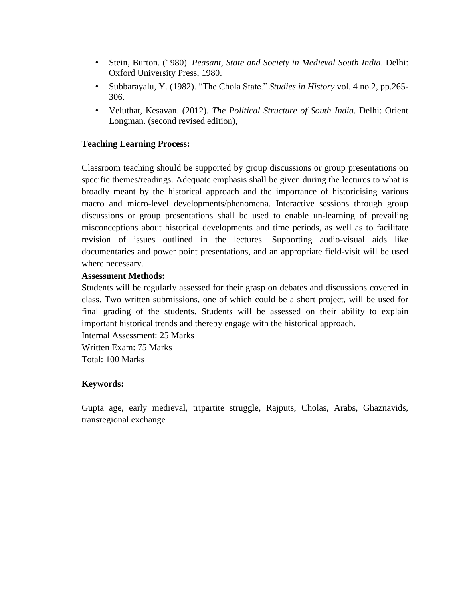- Stein, Burton. (1980). *Peasant, State and Society in Medieval South India*. Delhi: Oxford University Press, 1980.
- Subbarayalu, Y. (1982). "The Chola State." *Studies in History* vol. 4 no.2, pp.265- 306.
- Veluthat, Kesavan. (2012). *The Political Structure of South India.* Delhi: Orient Longman. (second revised edition),

#### **Teaching Learning Process:**

Classroom teaching should be supported by group discussions or group presentations on specific themes/readings. Adequate emphasis shall be given during the lectures to what is broadly meant by the historical approach and the importance of historicising various macro and micro-level developments/phenomena. Interactive sessions through group discussions or group presentations shall be used to enable un-learning of prevailing misconceptions about historical developments and time periods, as well as to facilitate revision of issues outlined in the lectures. Supporting audio-visual aids like documentaries and power point presentations, and an appropriate field-visit will be used where necessary.

#### **Assessment Methods:**

Students will be regularly assessed for their grasp on debates and discussions covered in class. Two written submissions, one of which could be a short project, will be used for final grading of the students. Students will be assessed on their ability to explain important historical trends and thereby engage with the historical approach.

Internal Assessment: 25 Marks Written Exam: 75 Marks Total: 100 Marks

#### **Keywords:**

Gupta age, early medieval, tripartite struggle, Rajputs, Cholas, Arabs, Ghaznavids, transregional exchange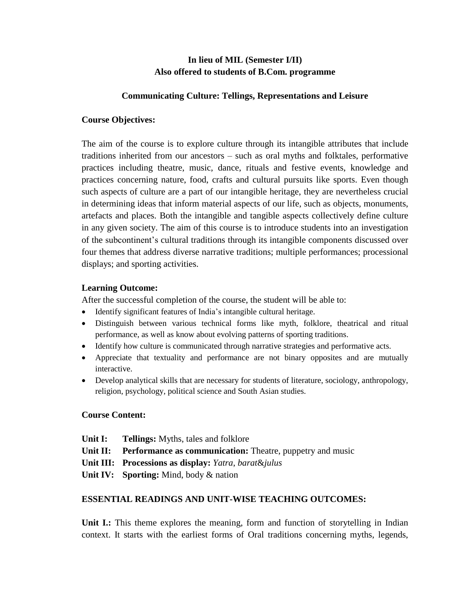# **In lieu of MIL (Semester I/II) Also offered to students of B.Com. programme**

#### **Communicating Culture: Tellings, Representations and Leisure**

#### **Course Objectives:**

The aim of the course is to explore culture through its intangible attributes that include traditions inherited from our ancestors – such as oral myths and folktales, performative practices including theatre, music, dance, rituals and festive events, knowledge and practices concerning nature, food, crafts and cultural pursuits like sports. Even though such aspects of culture are a part of our intangible heritage, they are nevertheless crucial in determining ideas that inform material aspects of our life, such as objects, monuments, artefacts and places. Both the intangible and tangible aspects collectively define culture in any given society. The aim of this course is to introduce students into an investigation of the subcontinent's cultural traditions through its intangible components discussed over four themes that address diverse narrative traditions; multiple performances; processional displays; and sporting activities.

#### **Learning Outcome:**

After the successful completion of the course, the student will be able to:

- Identify significant features of India's intangible cultural heritage.
- Distinguish between various technical forms like myth, folklore, theatrical and ritual performance, as well as know about evolving patterns of sporting traditions.
- Identify how culture is communicated through narrative strategies and performative acts.
- Appreciate that textuality and performance are not binary opposites and are mutually interactive.
- Develop analytical skills that are necessary for students of literature, sociology, anthropology, religion, psychology, political science and South Asian studies.

#### **Course Content:**

- **Unit I: Tellings:** Myths, tales and folklore
- **Unit II: Performance as communication:** Theatre, puppetry and music
- **Unit III: Processions as display:** *Yatra*, *barat*&*julus*
- **Unit IV: Sporting:** Mind, body & nation

# **ESSENTIAL READINGS AND UNIT-WISE TEACHING OUTCOMES:**

Unit **I.:** This theme explores the meaning, form and function of storytelling in Indian context. It starts with the earliest forms of Oral traditions concerning myths, legends,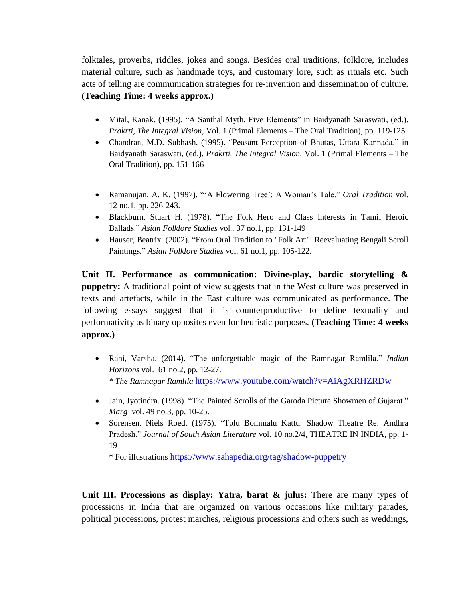folktales, proverbs, riddles, jokes and songs. Besides oral traditions, folklore, includes material culture, such as handmade toys, and customary lore, such as rituals etc. Such acts of telling are communication strategies for re-invention and dissemination of culture. **(Teaching Time: 4 weeks approx.)**

- Mital, Kanak. (1995). "A Santhal Myth, Five Elements" in Baidyanath Saraswati*,* (ed.). *Prakrti, The Integral Vision*, Vol. 1 (Primal Elements – The Oral Tradition), pp. 119-125
- Chandran, M.D. Subhash. (1995). "Peasant Perception of Bhutas, Uttara Kannada." in Baidyanath Saraswati*,* (ed.). *Prakrti, The Integral Vision*, Vol. 1 (Primal Elements – The Oral Tradition), pp. 151-166
- Ramanujan, A. K. (1997). "'A Flowering Tree': A Woman's Tale." *Oral Tradition* vol. 12 no.1, pp. 226-243.
- Blackburn, Stuart H. (1978). "The Folk Hero and Class Interests in Tamil Heroic Ballads." *Asian Folklore Studies* vol.. 37 no.1, pp. 131-149
- Hauser, Beatrix. (2002). "From Oral Tradition to "Folk Art": Reevaluating Bengali Scroll Paintings." *Asian Folklore Studies* vol. 61 no.1, pp. 105-122.

**Unit II. Performance as communication: Divine-play, bardic storytelling & puppetry:** A traditional point of view suggests that in the West culture was preserved in texts and artefacts, while in the East culture was communicated as performance. The following essays suggest that it is counterproductive to define textuality and performativity as binary opposites even for heuristic purposes. **(Teaching Time: 4 weeks approx.)**

- Rani, Varsha. (2014). "The unforgettable magic of the Ramnagar Ramlila." *Indian Horizons* vol. 61 no.2, pp. 12-27. *\* The Ramnagar Ramlila* <https://www.youtube.com/watch?v=AiAgXRHZRDw>
- Jain, Jyotindra. (1998). "The Painted Scrolls of the Garoda Picture Showmen of Gujarat." *Marg* vol. 49 no.3, pp. 10-25.
- Sorensen, Niels Roed. (1975). "Tolu Bommalu Kattu: Shadow Theatre Re: Andhra Pradesh." *Journal of South Asian Literature* vol. 10 no.2/4, THEATRE IN INDIA, pp. 1- 19

\* For illustrations <https://www.sahapedia.org/tag/shadow-puppetry>

**Unit III. Processions as display: Yatra, barat & julus:** There are many types of processions in India that are organized on various occasions like military parades, political processions, protest marches, religious processions and others such as weddings,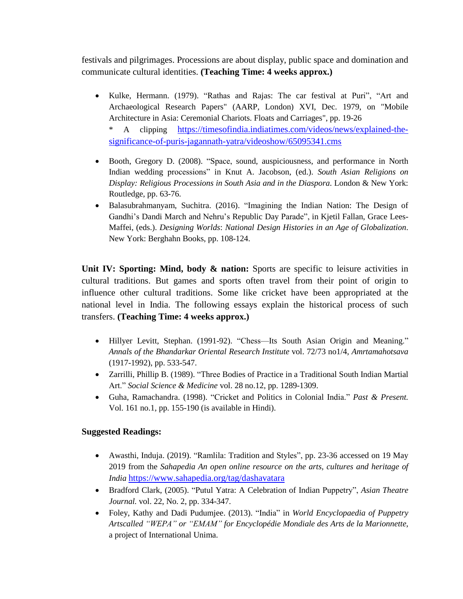festivals and pilgrimages. Processions are about display, public space and domination and communicate cultural identities. **(Teaching Time: 4 weeks approx.)**

- Kulke, Hermann. (1979). "Rathas and Rajas: The car festival at Puri", "Art and Archaeological Research Papers" (AARP, London) XVI, Dec. 1979, on "Mobile Architecture in Asia: Ceremonial Chariots. Floats and Carriages", pp. 19-26 A clipping [https://timesofindia.indiatimes.com/videos/news/explained-the](https://timesofindia.indiatimes.com/videos/news/explained-the-significance-of-puris-jagannath-yatra/videoshow/65095341.cms)[significance-of-puris-jagannath-yatra/videoshow/65095341.cms](https://timesofindia.indiatimes.com/videos/news/explained-the-significance-of-puris-jagannath-yatra/videoshow/65095341.cms)
- Booth, Gregory D. (2008). "Space, sound, auspiciousness, and performance in North Indian wedding processions" in Knut A. Jacobson, (ed.). *South Asian Religions on Display: Religious Processions in South Asia and in the Diaspora*. London & New York: Routledge, pp. 63-76.
- Balasubrahmanyam, Suchitra. (2016). "Imagining the Indian Nation: The Design of Gandhi's Dandi March and Nehru's Republic Day Parade", in Kjetil Fallan, Grace Lees-Maffei, (eds.). *Designing Worlds*: *National Design Histories in an Age of Globalization*. New York: Berghahn Books, pp. 108-124.

**Unit IV: Sporting: Mind, body & nation:** Sports are specific to leisure activities in cultural traditions. But games and sports often travel from their point of origin to influence other cultural traditions. Some like cricket have been appropriated at the national level in India. The following essays explain the historical process of such transfers. **(Teaching Time: 4 weeks approx.)**

- Hillyer Levitt, Stephan. (1991-92). "Chess—Its South Asian Origin and Meaning." *Annals of the Bhandarkar Oriental Research Institute* vol. 72/73 no1/4, *Amrtamahotsava* (1917-1992), pp. 533-547.
- Zarrilli, Phillip B. (1989). "Three Bodies of Practice in a Traditional South Indian Martial Art." *Social Science & Medicine* vol. 28 no.12, pp. 1289-1309.
- Guha, Ramachandra. (1998). "Cricket and Politics in Colonial India." *Past & Present.* Vol. 161 no.1, pp. 155-190 (is available in Hindi).

# **Suggested Readings:**

- Awasthi, Induja. (2019). "Ramlila: Tradition and Styles", pp. 23-36 accessed on 19 May 2019 from the *Sahapedia An open online resource on the arts, cultures and heritage of India* <https://www.sahapedia.org/tag/dashavatara>
- Bradford Clark, (2005). "Putul Yatra: A Celebration of Indian Puppetry", *Asian Theatre Journal.* vol. 22, No. 2, pp. 334-347.
- Foley, Kathy and Dadi Pudumjee. (2013). "India" in *World Encyclopaedia of Puppetry Artscalled "WEPA" or "EMAM" for Encyclopédie Mondiale des Arts de la Marionnette*, a project of International Unima.